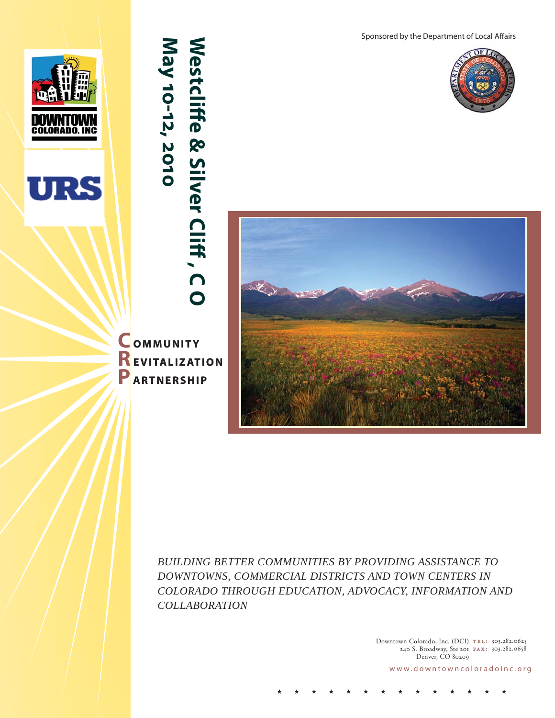**COLORADO, INC** 



# **Westcliff e & Silver Cliff , C O May 10-12, 2010** Westcliffe & Silver Cliff, CO May 10-12, 2010

 **OMMUNITY REVITALIZATION P ARTNERSHIP**







*BUILDING BETTER COMMUNITIES BY PROVIDING ASSISTANCE TO DOWNTOWNS, COMMERCIAL DISTRICTS AND TOWN CENTERS IN COLORADO THROUGH EDUCATION, ADVOCACY, INFORMATION AND COLLABORATION*

> Downtown Colorado, Inc. (DCI) TEL: 303.282.0625 240 S. Broadway, Ste 201 **FAX:** 303.282.0658 Denver, CO 80209

www.downtowncoloradoinc.org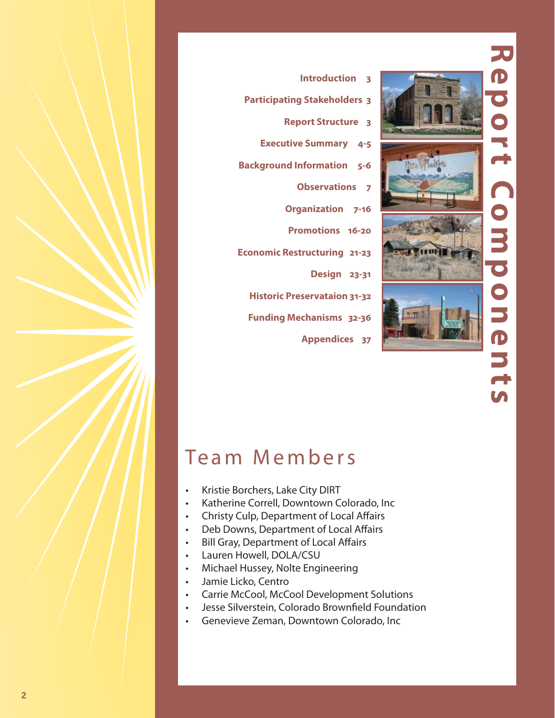

# 70 **Report Components**  $\bigcap$ Com  $\overline{\bullet}$  $\bigcirc$  $\overline{\phantom{0}}$ D<br>D  $\overline{\mathbf{r}}$

# **Participating Stakeholders 3 Report Structure 3 Executive Summary 4-5 Background Information 5-6 Observations 7 Organization 7-16 Promotions 16-20 Economic Restructuring 21-23 Design 23-31 Historic Preservataion 31-32 Funding Mechanisms 32-36**

 **Appendices 37**

# Team Members

- Kristie Borchers, Lake City DIRT
- Katherine Correll, Downtown Colorado, Inc
- Christy Culp, Department of Local Affairs
- Deb Downs, Department of Local Affairs
- Bill Gray, Department of Local Affairs
- Lauren Howell, DOLA/CSU
- Michael Hussey, Nolte Engineering
- Jamie Licko, Centro
- Carrie McCool, McCool Development Solutions
- Jesse Silverstein, Colorado Brownfield Foundation
- Genevieve Zeman, Downtown Colorado, Inc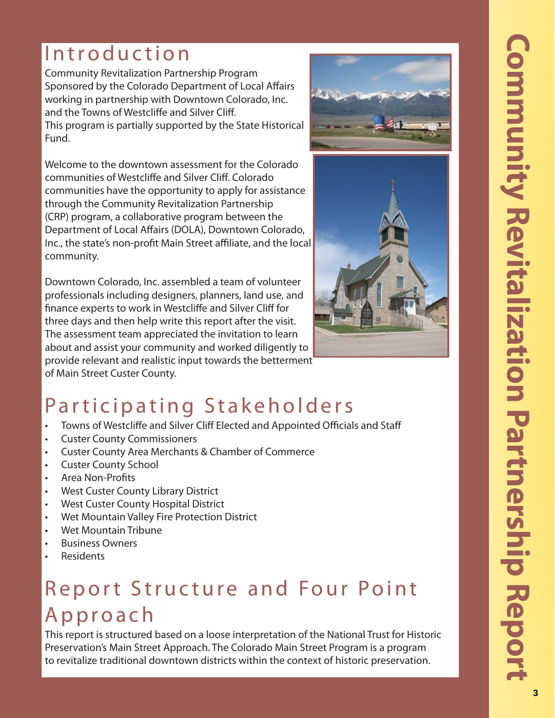# Introduction

Community Revitalization Partnership Program Sponsored by the Colorado Department of Local Affairs working in partnership with Downtown Colorado, Inc. and the Towns of Westcliffe and Silver Cliff. This program is partially supported by the State Historical Fund.

Welcome to the downtown assessment for the Colorado communities of Westcliffe and Silver Cliff. Colorado communities have the opportunity to apply for assistance through the Community Revitalization Partnership (CRP) program, a collaborative program between the Department of Local Affairs (DOLA), Downtown Colorado, Inc., the state's non-profit Main Street affiliate, and the local community.

Downtown Colorado, Inc. assembled a team of volunteer professionals including designers, planners, land use, and finance experts to work in Westcliffe and Silver Cliff for three days and then help write this report after the visit. The assessment team appreciated the invitation to learn about and assist your community and worked diligently to provide relevant and realistic input towards the betterment of Main Street Custer County.





# Participating Stakeholders

- Towns of Westcliffe and Silver Cliff Elected and Appointed Officials and Staff
- Custer County Commissioners
- Custer County Area Merchants & Chamber of Commerce
- Custer County School
- Area Non-Profits
- West Custer County Library District
- West Custer County Hospital District
- Wet Mountain Valley Fire Protection District
- Wet Mountain Tribune
- Business Owners
- Residents

# Report Structure and Four Point Approach

This report is structured based on a loose interpretation of the National Trust for Historic Preservation's Main Street Approach. The Colorado Main Street Program is a program to revitalize traditional downtown districts within the context of historic preservation.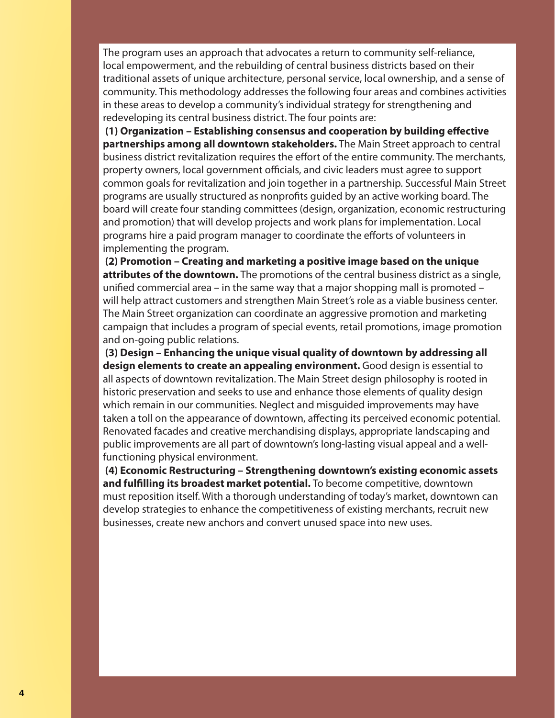The program uses an approach that advocates a return to community self-reliance, local empowerment, and the rebuilding of central business districts based on their traditional assets of unique architecture, personal service, local ownership, and a sense of community. This methodology addresses the following four areas and combines activities in these areas to develop a community's individual strategy for strengthening and redeveloping its central business district. The four points are:

(1) Organization – Establishing consensus and cooperation by building effective **partnerships among all downtown stakeholders.** The Main Street approach to central business district revitalization requires the effort of the entire community. The merchants, property owners, local government officials, and civic leaders must agree to support common goals for revitalization and join together in a partnership. Successful Main Street programs are usually structured as nonprofits guided by an active working board. The board will create four standing committees (design, organization, economic restructuring and promotion) that will develop projects and work plans for implementation. Local programs hire a paid program manager to coordinate the efforts of volunteers in implementing the program.

 **(2) Promotion – Creating and marketing a positive image based on the unique attributes of the downtown.** The promotions of the central business district as a single, unified commercial area – in the same way that a major shopping mall is promoted – will help attract customers and strengthen Main Street's role as a viable business center. The Main Street organization can coordinate an aggressive promotion and marketing campaign that includes a program of special events, retail promotions, image promotion and on-going public relations.

 **(3) Design – Enhancing the unique visual quality of downtown by addressing all design elements to create an appealing environment.** Good design is essential to all aspects of downtown revitalization. The Main Street design philosophy is rooted in historic preservation and seeks to use and enhance those elements of quality design which remain in our communities. Neglect and misguided improvements may have taken a toll on the appearance of downtown, affecting its perceived economic potential. Renovated facades and creative merchandising displays, appropriate landscaping and public improvements are all part of downtown's long-lasting visual appeal and a wellfunctioning physical environment.

 **(4) Economic Restructuring – Strengthening downtown's existing economic assets**  and fulfilling its broadest market potential. To become competitive, downtown must reposition itself. With a thorough understanding of today's market, downtown can develop strategies to enhance the competitiveness of existing merchants, recruit new businesses, create new anchors and convert unused space into new uses.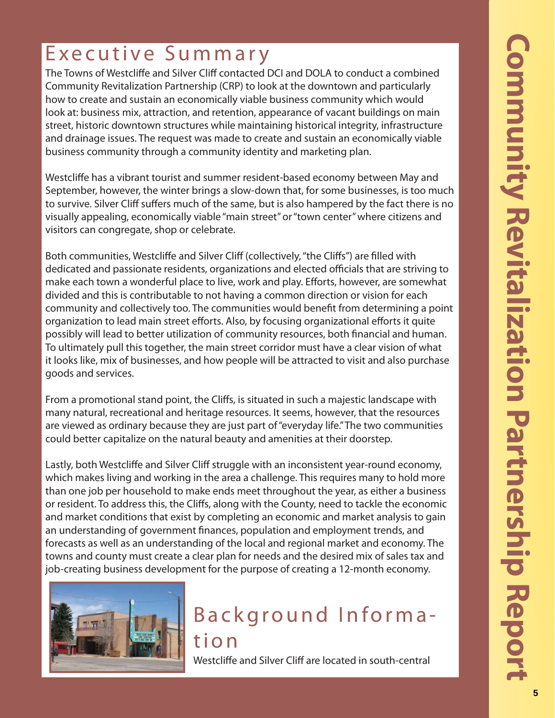# Executive Summary

The Towns of Westcliffe and Silver Cliff contacted DCI and DOLA to conduct a combined Community Revitalization Partnership (CRP) to look at the downtown and particularly how to create and sustain an economically viable business community which would look at: business mix, attraction, and retention, appearance of vacant buildings on main street, historic downtown structures while maintaining historical integrity, infrastructure and drainage issues. The request was made to create and sustain an economically viable business community through a community identity and marketing plan.

Westcliffe has a vibrant tourist and summer resident-based economy between May and September, however, the winter brings a slow-down that, for some businesses, is too much to survive. Silver Cliff suffers much of the same, but is also hampered by the fact there is no visually appealing, economically viable "main street" or "town center" where citizens and visitors can congregate, shop or celebrate.

Both communities, Westcliffe and Silver Cliff (collectively, "the Cliffs") are filled with dedicated and passionate residents, organizations and elected officials that are striving to make each town a wonderful place to live, work and play. Efforts, however, are somewhat divided and this is contributable to not having a common direction or vision for each community and collectively too. The communities would benefit from determining a point organization to lead main street efforts. Also, by focusing organizational efforts it quite possibly will lead to better utilization of community resources, both financial and human. To ultimately pull this together, the main street corridor must have a clear vision of what it looks like, mix of businesses, and how people will be attracted to visit and also purchase goods and services.

From a promotional stand point, the Cliffs, is situated in such a majestic landscape with many natural, recreational and heritage resources. It seems, however, that the resources are viewed as ordinary because they are just part of "everyday life." The two communities could better capitalize on the natural beauty and amenities at their doorstep.

Lastly, both Westcliffe and Silver Cliff struggle with an inconsistent year-round economy, which makes living and working in the area a challenge. This requires many to hold more than one job per household to make ends meet throughout the year, as either a business or resident. To address this, the Cliffs, along with the County, need to tackle the economic and market conditions that exist by completing an economic and market analysis to gain an understanding of government finances, population and employment trends, and forecasts as well as an understanding of the local and regional market and economy. The towns and county must create a clear plan for needs and the desired mix of sales tax and job-creating business development for the purpose of creating a 12-month economy.



# Background Information

Westcliffe and Silver Cliff are located in south-central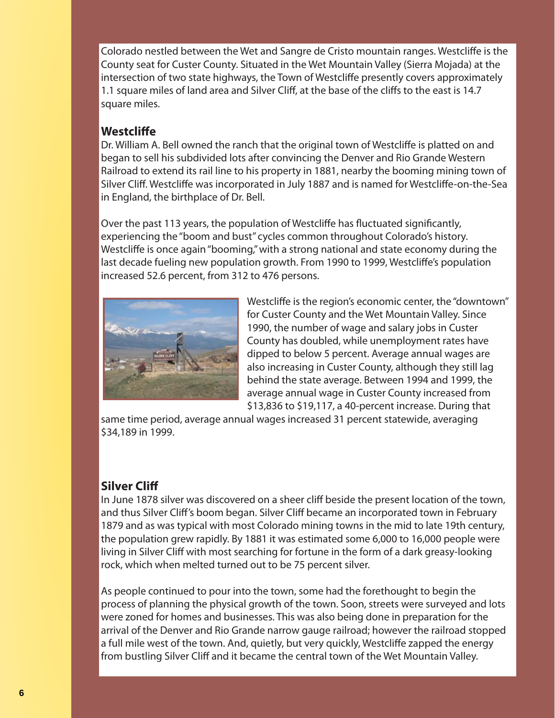Colorado nestled between the Wet and Sangre de Cristo mountain ranges. Westcliffe is the County seat for Custer County. Situated in the Wet Mountain Valley (Sierra Mojada) at the intersection of two state highways, the Town of Westcliffe presently covers approximately 1.1 square miles of land area and Silver Cliff, at the base of the cliffs to the east is 14.7 square miles.

# **Westcliffe**

Dr. William A. Bell owned the ranch that the original town of Westcliffe is platted on and began to sell his subdivided lots after convincing the Denver and Rio Grande Western Railroad to extend its rail line to his property in 1881, nearby the booming mining town of Silver Cliff. Westcliffe was incorporated in July 1887 and is named for Westcliffe-on-the-Sea in England, the birthplace of Dr. Bell.

Over the past 113 years, the population of Westcliffe has fluctuated significantly, experiencing the "boom and bust" cycles common throughout Colorado's history. Westcliffe is once again "booming," with a strong national and state economy during the last decade fueling new population growth. From 1990 to 1999, Westcliffe's population increased 52.6 percent, from 312 to 476 persons.



Westcliffe is the region's economic center, the "downtown" for Custer County and the Wet Mountain Valley. Since 1990, the number of wage and salary jobs in Custer County has doubled, while unemployment rates have dipped to below 5 percent. Average annual wages are also increasing in Custer County, although they still lag behind the state average. Between 1994 and 1999, the average annual wage in Custer County increased from \$13,836 to \$19,117, a 40-percent increase. During that

same time period, average annual wages increased 31 percent statewide, averaging \$34,189 in 1999.

# **Silver Cliff**

In June 1878 silver was discovered on a sheer cliff beside the present location of the town, and thus Silver Cliff's boom began. Silver Cliff became an incorporated town in February 1879 and as was typical with most Colorado mining towns in the mid to late 19th century, the population grew rapidly. By 1881 it was estimated some 6,000 to 16,000 people were living in Silver Cliff with most searching for fortune in the form of a dark greasy-looking rock, which when melted turned out to be 75 percent silver.

As people continued to pour into the town, some had the forethought to begin the process of planning the physical growth of the town. Soon, streets were surveyed and lots were zoned for homes and businesses. This was also being done in preparation for the arrival of the Denver and Rio Grande narrow gauge railroad; however the railroad stopped a full mile west of the town. And, quietly, but very quickly, Westcliffe zapped the energy from bustling Silver Cliff and it became the central town of the Wet Mountain Valley.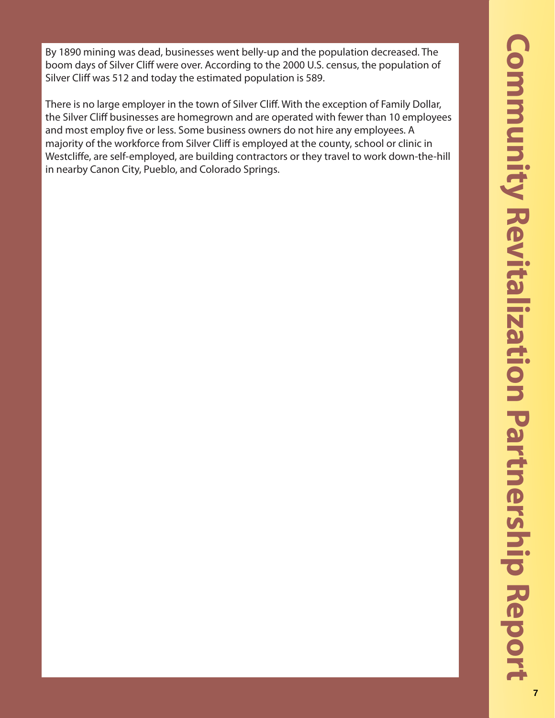By 1890 mining was dead, businesses went belly-up and the population decreased. The boom days of Silver Cliff were over. According to the 2000 U.S. census, the population of Silver Cliff was 512 and today the estimated population is 589.

There is no large employer in the town of Silver Cliff. With the exception of Family Dollar, the Silver Cliff businesses are homegrown and are operated with fewer than 10 employees and most employ five or less. Some business owners do not hire any employees. A majority of the workforce from Silver Cliff is employed at the county, school or clinic in Westcliffe, are self-employed, are building contractors or they travel to work down-the-hill in nearby Canon City, Pueblo, and Colorado Springs.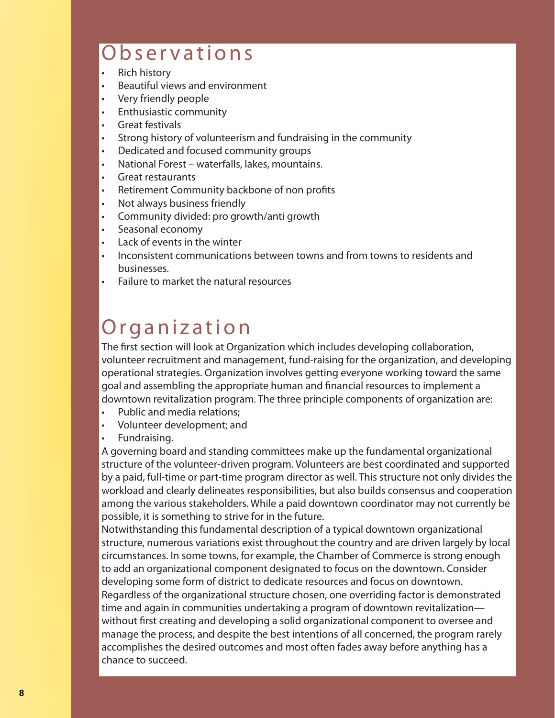# Observations

- Rich history
- Beautiful views and environment
- Very friendly people
- Enthusiastic community
- **Great festivals**
- Strong history of volunteerism and fundraising in the community
- Dedicated and focused community groups
- National Forest waterfalls, lakes, mountains.
- Great restaurants
- Retirement Community backbone of non profits
- Not always business friendly
- Community divided: pro growth/anti growth
- Seasonal economy
- Lack of events in the winter
- Inconsistent communications between towns and from towns to residents and businesses.
- Failure to market the natural resources

# Organization

The first section will look at Organization which includes developing collaboration, volunteer recruitment and management, fund-raising for the organization, and developing operational strategies. Organization involves getting everyone working toward the same goal and assembling the appropriate human and financial resources to implement a downtown revitalization program. The three principle components of organization are:

- Public and media relations;
- Volunteer development; and
- Fundraising.

A governing board and standing committees make up the fundamental organizational structure of the volunteer-driven program. Volunteers are best coordinated and supported by a paid, full-time or part-time program director as well. This structure not only divides the workload and clearly delineates responsibilities, but also builds consensus and cooperation among the various stakeholders. While a paid downtown coordinator may not currently be possible, it is something to strive for in the future.

Notwithstanding this fundamental description of a typical downtown organizational structure, numerous variations exist throughout the country and are driven largely by local circumstances. In some towns, for example, the Chamber of Commerce is strong enough to add an organizational component designated to focus on the downtown. Consider developing some form of district to dedicate resources and focus on downtown. Regardless of the organizational structure chosen, one overriding factor is demonstrated time and again in communities undertaking a program of downtown revitalization without first creating and developing a solid organizational component to oversee and manage the process, and despite the best intentions of all concerned, the program rarely accomplishes the desired outcomes and most often fades away before anything has a chance to succeed.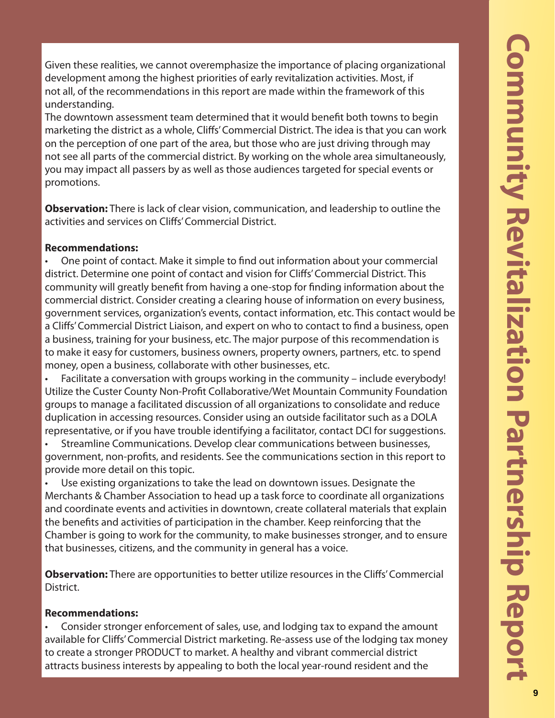Given these realities, we cannot overemphasize the importance of placing organizational development among the highest priorities of early revitalization activities. Most, if not all, of the recommendations in this report are made within the framework of this understanding.

The downtown assessment team determined that it would benefit both towns to begin marketing the district as a whole, Cliffs' Commercial District. The idea is that you can work on the perception of one part of the area, but those who are just driving through may not see all parts of the commercial district. By working on the whole area simultaneously, you may impact all passers by as well as those audiences targeted for special events or promotions.

**Observation:** There is lack of clear vision, communication, and leadership to outline the activities and services on Cliffs' Commercial District.

# **Recommendations:**

One point of contact. Make it simple to find out information about your commercial district. Determine one point of contact and vision for Cliffs' Commercial District. This community will greatly benefit from having a one-stop for finding information about the commercial district. Consider creating a clearing house of information on every business, government services, organization's events, contact information, etc. This contact would be a Cliffs' Commercial District Liaison, and expert on who to contact to find a business, open a business, training for your business, etc. The major purpose of this recommendation is to make it easy for customers, business owners, property owners, partners, etc. to spend money, open a business, collaborate with other businesses, etc.

Facilitate a conversation with groups working in the community – include everybody! Utilize the Custer County Non-Profit Collaborative/Wet Mountain Community Foundation groups to manage a facilitated discussion of all organizations to consolidate and reduce duplication in accessing resources. Consider using an outside facilitator such as a DOLA representative, or if you have trouble identifying a facilitator, contact DCI for suggestions.

• Streamline Communications. Develop clear communications between businesses, government, non-profits, and residents. See the communications section in this report to provide more detail on this topic.

• Use existing organizations to take the lead on downtown issues. Designate the Merchants & Chamber Association to head up a task force to coordinate all organizations and coordinate events and activities in downtown, create collateral materials that explain the benefits and activities of participation in the chamber. Keep reinforcing that the Chamber is going to work for the community, to make businesses stronger, and to ensure that businesses, citizens, and the community in general has a voice.

**Observation:** There are opportunities to better utilize resources in the Cliffs' Commercial District.

# **Recommendations:**

• Consider stronger enforcement of sales, use, and lodging tax to expand the amount available for Cliffs' Commercial District marketing. Re-assess use of the lodging tax money to create a stronger PRODUCT to market. A healthy and vibrant commercial district attracts business interests by appealing to both the local year-round resident and the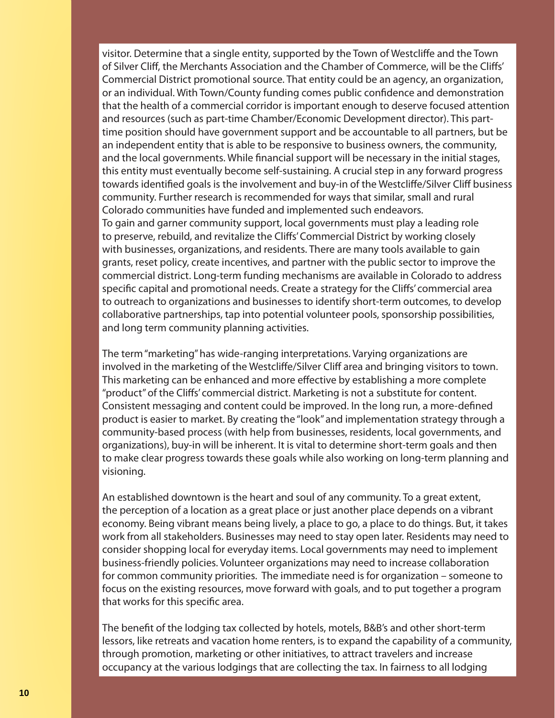visitor. Determine that a single entity, supported by the Town of Westcliffe and the Town of Silver Cliff, the Merchants Association and the Chamber of Commerce, will be the Cliffs' Commercial District promotional source. That entity could be an agency, an organization, or an individual. With Town/County funding comes public confidence and demonstration that the health of a commercial corridor is important enough to deserve focused attention and resources (such as part-time Chamber/Economic Development director). This parttime position should have government support and be accountable to all partners, but be an independent entity that is able to be responsive to business owners, the community, and the local governments. While financial support will be necessary in the initial stages, this entity must eventually become self-sustaining. A crucial step in any forward progress towards identified goals is the involvement and buy-in of the Westcliffe/Silver Cliff business community. Further research is recommended for ways that similar, small and rural Colorado communities have funded and implemented such endeavors. To gain and garner community support, local governments must play a leading role to preserve, rebuild, and revitalize the Cliffs' Commercial District by working closely with businesses, organizations, and residents. There are many tools available to gain grants, reset policy, create incentives, and partner with the public sector to improve the commercial district. Long-term funding mechanisms are available in Colorado to address specific capital and promotional needs. Create a strategy for the Cliffs' commercial area to outreach to organizations and businesses to identify short-term outcomes, to develop collaborative partnerships, tap into potential volunteer pools, sponsorship possibilities, and long term community planning activities.

The term "marketing" has wide-ranging interpretations. Varying organizations are involved in the marketing of the Westcliffe/Silver Cliff area and bringing visitors to town. This marketing can be enhanced and more effective by establishing a more complete "product" of the Cliffs' commercial district. Marketing is not a substitute for content. Consistent messaging and content could be improved. In the long run, a more-defined product is easier to market. By creating the "look" and implementation strategy through a community-based process (with help from businesses, residents, local governments, and organizations), buy-in will be inherent. It is vital to determine short-term goals and then to make clear progress towards these goals while also working on long-term planning and visioning.

An established downtown is the heart and soul of any community. To a great extent, the perception of a location as a great place or just another place depends on a vibrant economy. Being vibrant means being lively, a place to go, a place to do things. But, it takes work from all stakeholders. Businesses may need to stay open later. Residents may need to consider shopping local for everyday items. Local governments may need to implement business-friendly policies. Volunteer organizations may need to increase collaboration for common community priorities. The immediate need is for organization – someone to focus on the existing resources, move forward with goals, and to put together a program that works for this specific area.

The benefit of the lodging tax collected by hotels, motels, B&B's and other short-term lessors, like retreats and vacation home renters, is to expand the capability of a community, through promotion, marketing or other initiatives, to attract travelers and increase occupancy at the various lodgings that are collecting the tax. In fairness to all lodging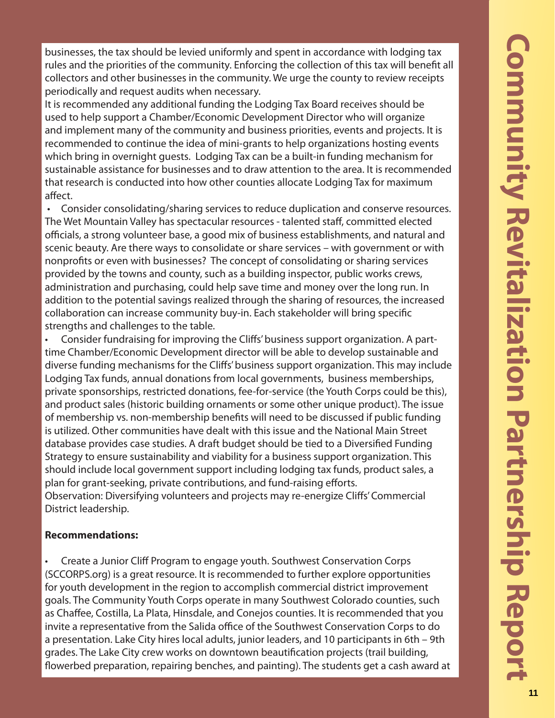businesses, the tax should be levied uniformly and spent in accordance with lodging tax rules and the priorities of the community. Enforcing the collection of this tax will benefit all collectors and other businesses in the community. We urge the county to review receipts periodically and request audits when necessary.

It is recommended any additional funding the Lodging Tax Board receives should be used to help support a Chamber/Economic Development Director who will organize and implement many of the community and business priorities, events and projects. It is recommended to continue the idea of mini-grants to help organizations hosting events which bring in overnight guests. Lodging Tax can be a built-in funding mechanism for sustainable assistance for businesses and to draw attention to the area. It is recommended that research is conducted into how other counties allocate Lodging Tax for maximum affect.

 • Consider consolidating/sharing services to reduce duplication and conserve resources. The Wet Mountain Valley has spectacular resources - talented staff , committed elected officials, a strong volunteer base, a good mix of business establishments, and natural and scenic beauty. Are there ways to consolidate or share services – with government or with nonprofits or even with businesses? The concept of consolidating or sharing services provided by the towns and county, such as a building inspector, public works crews, administration and purchasing, could help save time and money over the long run. In addition to the potential savings realized through the sharing of resources, the increased collaboration can increase community buy-in. Each stakeholder will bring specific strengths and challenges to the table.

Consider fundraising for improving the Cliffs' business support organization. A parttime Chamber/Economic Development director will be able to develop sustainable and diverse funding mechanisms for the Cliffs' business support organization. This may include Lodging Tax funds, annual donations from local governments, business memberships, private sponsorships, restricted donations, fee-for-service (the Youth Corps could be this), and product sales (historic building ornaments or some other unique product). The issue of membership vs. non-membership benefits will need to be discussed if public funding is utilized. Other communities have dealt with this issue and the National Main Street database provides case studies. A draft budget should be tied to a Diversified Funding Strategy to ensure sustainability and viability for a business support organization. This should include local government support including lodging tax funds, product sales, a plan for grant-seeking, private contributions, and fund-raising efforts.

Observation: Diversifying volunteers and projects may re-energize Cliffs' Commercial District leadership.

# **Recommendations:**

• Create a Junior Cliff Program to engage youth. Southwest Conservation Corps (SCCORPS.org) is a great resource. It is recommended to further explore opportunities for youth development in the region to accomplish commercial district improvement goals. The Community Youth Corps operate in many Southwest Colorado counties, such as Chaffee, Costilla, La Plata, Hinsdale, and Conejos counties. It is recommended that you invite a representative from the Salida office of the Southwest Conservation Corps to do a presentation. Lake City hires local adults, junior leaders, and 10 participants in 6th – 9th grades. The Lake City crew works on downtown beautification projects (trail building, flowerbed preparation, repairing benches, and painting). The students get a cash award at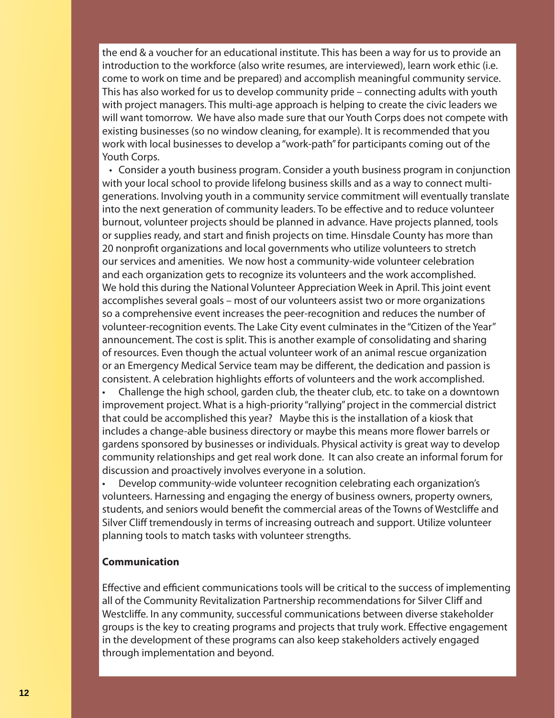the end & a voucher for an educational institute. This has been a way for us to provide an introduction to the workforce (also write resumes, are interviewed), learn work ethic (i.e. come to work on time and be prepared) and accomplish meaningful community service. This has also worked for us to develop community pride – connecting adults with youth with project managers. This multi-age approach is helping to create the civic leaders we will want tomorrow. We have also made sure that our Youth Corps does not compete with existing businesses (so no window cleaning, for example). It is recommended that you work with local businesses to develop a "work-path" for participants coming out of the Youth Corps.

 • Consider a youth business program. Consider a youth business program in conjunction with your local school to provide lifelong business skills and as a way to connect multigenerations. Involving youth in a community service commitment will eventually translate into the next generation of community leaders. To be effective and to reduce volunteer burnout, volunteer projects should be planned in advance. Have projects planned, tools or supplies ready, and start and finish projects on time. Hinsdale County has more than 20 nonprofit organizations and local governments who utilize volunteers to stretch our services and amenities. We now host a community-wide volunteer celebration and each organization gets to recognize its volunteers and the work accomplished. We hold this during the National Volunteer Appreciation Week in April. This joint event accomplishes several goals – most of our volunteers assist two or more organizations so a comprehensive event increases the peer-recognition and reduces the number of volunteer-recognition events. The Lake City event culminates in the "Citizen of the Year" announcement. The cost is split. This is another example of consolidating and sharing of resources. Even though the actual volunteer work of an animal rescue organization or an Emergency Medical Service team may be different, the dedication and passion is consistent. A celebration highlights efforts of volunteers and the work accomplished.

• Challenge the high school, garden club, the theater club, etc. to take on a downtown improvement project. What is a high-priority "rallying" project in the commercial district that could be accomplished this year? Maybe this is the installation of a kiosk that includes a change-able business directory or maybe this means more flower barrels or gardens sponsored by businesses or individuals. Physical activity is great way to develop community relationships and get real work done. It can also create an informal forum for discussion and proactively involves everyone in a solution.

• Develop community-wide volunteer recognition celebrating each organization's volunteers. Harnessing and engaging the energy of business owners, property owners, students, and seniors would benefit the commercial areas of the Towns of Westcliffe and Silver Cliff tremendously in terms of increasing outreach and support. Utilize volunteer planning tools to match tasks with volunteer strengths.

### **Communication**

Effective and efficient communications tools will be critical to the success of implementing all of the Community Revitalization Partnership recommendations for Silver Cliff and Westcliffe. In any community, successful communications between diverse stakeholder groups is the key to creating programs and projects that truly work. Effective engagement in the development of these programs can also keep stakeholders actively engaged through implementation and beyond.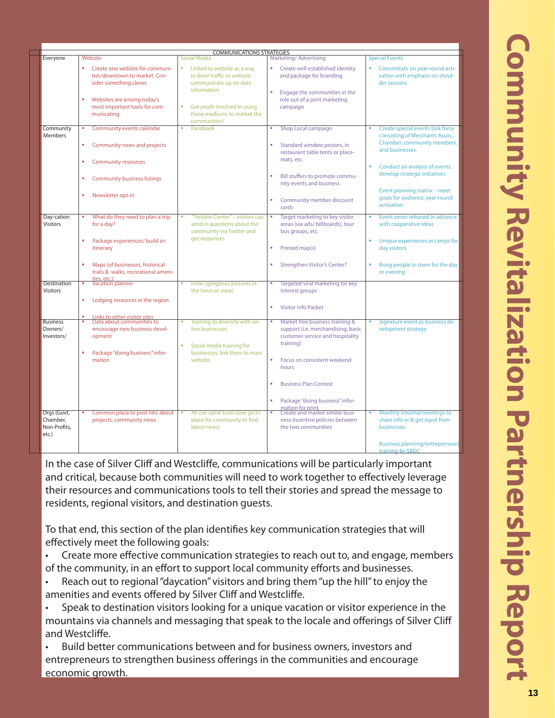| Everyone                                         | Website                                                                                                                                                                            | <b>COMMUNICATIONS STRATEGIES</b><br>Social Media                                                                                                                        | Marketing/Advertising                                                                                                                                                                                          | <b>Special Events</b>                                                                                                                                                                                                    |
|--------------------------------------------------|------------------------------------------------------------------------------------------------------------------------------------------------------------------------------------|-------------------------------------------------------------------------------------------------------------------------------------------------------------------------|----------------------------------------------------------------------------------------------------------------------------------------------------------------------------------------------------------------|--------------------------------------------------------------------------------------------------------------------------------------------------------------------------------------------------------------------------|
|                                                  | Create one website for communi-<br>٠<br>ties/downtown to market. Con-<br>sider something clever.<br>٠<br>Websites are among today's<br>most important tools for com-<br>municating | Linked to website as a way<br>m.<br>to drive traffic to website,<br>communicate up-to-date<br>information<br>Get youth involved in using<br>these mediums to market the | Create well established identity<br>×,<br>and package for branding<br>Engage the communities in the<br>٠<br>role out of a joint marketing<br>campaign                                                          | Concentrate on year-round acti-<br>vation with emphasis on shoul-<br>der seasons                                                                                                                                         |
|                                                  |                                                                                                                                                                                    | communities?                                                                                                                                                            |                                                                                                                                                                                                                |                                                                                                                                                                                                                          |
| Community<br>Members                             | Community events calendar<br>٠<br>Community news and projects<br>×<br><b>Community resources</b><br>٠<br><b>Community business listings</b><br>٠                                   | Facebook                                                                                                                                                                | Shop Local campaign<br>٠<br>Standard window posters, in<br>restaurant table tents or place-<br>mats, etc.<br>Bill stuffers to promote commu-<br>nity events and business                                       | Create special events task force<br>consisting of Merchants Assoc.,<br>Chamber, community members,<br>and businesses.<br>Conduct an analysis of events,<br>develop strategic initiatives<br>Event planning matrix - meet |
|                                                  | Newsletter opt-in<br>٠                                                                                                                                                             |                                                                                                                                                                         | Community member discount<br>cards                                                                                                                                                                             | goals for audience, year-round<br>activation                                                                                                                                                                             |
| Day-cation<br><b>Visitors</b>                    | What do they need to plan a trip<br>×<br>for a day?<br>×,<br>Package experiences/ build an                                                                                         | <b>Twisitor Center" - visitors can</b><br>send in questions about the<br>community via Twitter and<br>get responses                                                     | Target marketing to key visitor<br>т<br>areas (via ads/ billboards), tour<br>bus groups, etc.                                                                                                                  | Event series released in advance<br>with cooperative ideas<br>Unique experiences at camps for                                                                                                                            |
|                                                  | itinerary<br>Maps (of businesses, historical<br>×<br>trails & walks, recreational ameni-                                                                                           |                                                                                                                                                                         | Printed map(s)<br>٠<br>Strengthen Visitor's Center?<br>٠                                                                                                                                                       | day visitors<br>Bring people to town for the day<br>or evening                                                                                                                                                           |
| Destination                                      | ties, etc.)<br>Vacation planner<br>٠                                                                                                                                               |                                                                                                                                                                         | ×                                                                                                                                                                                                              |                                                                                                                                                                                                                          |
| <b>Visitors</b>                                  | ×<br>Lodging resources in the region                                                                                                                                               | Flickr (gorgeous pictures of<br>the town or view)                                                                                                                       | Targeted viral marketing for key<br>interest groups                                                                                                                                                            |                                                                                                                                                                                                                          |
|                                                  |                                                                                                                                                                                    |                                                                                                                                                                         | <b>Visitor Info Packet</b><br>ä,                                                                                                                                                                               |                                                                                                                                                                                                                          |
| <b>Business</b><br>Owners/<br>Investors/         | Links to other visitor sites<br>Data about communities to<br>٠<br>encourage new business devel-<br>opment<br>٠<br>Package "doing business" infor-<br>mation                        | Training to diversity with on-<br>line businesses<br>à,<br>Social media training for<br>businesses, link them to main<br>website                                        | Market free business training &<br>×<br>support (i.e. merchandising, basic<br>customer service and hospitality<br>training)<br>Focus on consistent weekend<br>٠<br>hours<br><b>Business Plan Contest</b><br>ä, | Signature event as business de-<br>velopment strategy                                                                                                                                                                    |
| Orgs (Govt,<br>Chamber.<br>Non-Profits.<br>etc.) | Common place to post info about<br>projects, community news                                                                                                                        | All use same tools (one go to<br>place for community to find<br>latest news)                                                                                            | Package "doing business" infor-<br>٠<br>mation for print<br>Create and market similar busi-<br>т<br>ness incentive policies between<br>the two communities                                                     | Monthly informal meetings to<br>share info w/& get input from<br>businesses<br><b>Business planning/entrepreneurs</b><br>training by SBDC                                                                                |

In the case of Silver Cliff and Westcliffe, communications will be particularly important and critical, because both communities will need to work together to effectively leverage their resources and communications tools to tell their stories and spread the message to residents, regional visitors, and destination guests.

To that end, this section of the plan identifies key communication strategies that will effectively meet the following goals:

Create more effective communication strategies to reach out to, and engage, members of the community, in an effort to support local community efforts and businesses.

- Reach out to regional "daycation" visitors and bring them "up the hill" to enjoy the amenities and events offered by Silver Cliff and Westcliffe.
- Speak to destination visitors looking for a unique vacation or visitor experience in the mountains via channels and messaging that speak to the locale and offerings of Silver Cliff and Westcliffe.
- Build better communications between and for business owners, investors and entrepreneurs to strengthen business offerings in the communities and encourage economic growth.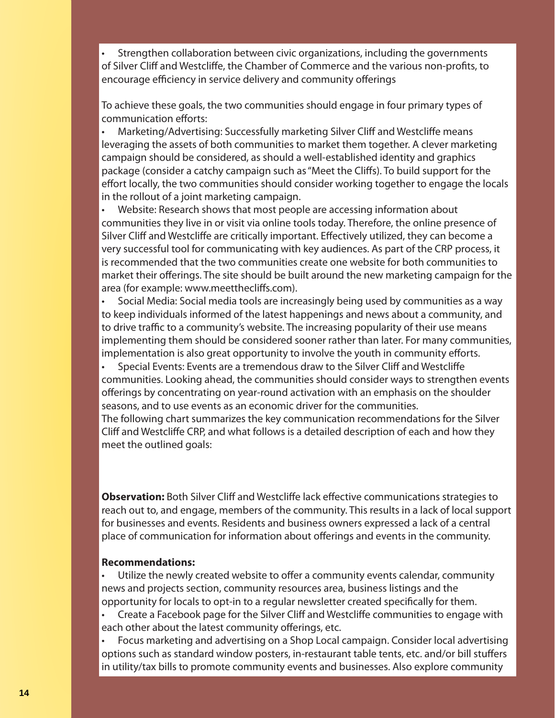• Strengthen collaboration between civic organizations, including the governments of Silver Cliff and Westcliffe, the Chamber of Commerce and the various non-profits, to encourage efficiency in service delivery and community offerings

To achieve these goals, the two communities should engage in four primary types of communication efforts:

Marketing/Advertising: Successfully marketing Silver Cliff and Westcliffe means leveraging the assets of both communities to market them together. A clever marketing campaign should be considered, as should a well-established identity and graphics package (consider a catchy campaign such as "Meet the Cliffs). To build support for the effort locally, the two communities should consider working together to engage the locals in the rollout of a joint marketing campaign.

• Website: Research shows that most people are accessing information about communities they live in or visit via online tools today. Therefore, the online presence of Silver Cliff and Westcliffe are critically important. Effectively utilized, they can become a very successful tool for communicating with key audiences. As part of the CRP process, it is recommended that the two communities create one website for both communities to market their offerings. The site should be built around the new marketing campaign for the area (for example: www.meetthecliffs.com).

• Social Media: Social media tools are increasingly being used by communities as a way to keep individuals informed of the latest happenings and news about a community, and to drive traffic to a community's website. The increasing popularity of their use means implementing them should be considered sooner rather than later. For many communities, implementation is also great opportunity to involve the youth in community efforts.

Special Events: Events are a tremendous draw to the Silver Cliff and Westcliffe communities. Looking ahead, the communities should consider ways to strengthen events offerings by concentrating on year-round activation with an emphasis on the shoulder seasons, and to use events as an economic driver for the communities.

The following chart summarizes the key communication recommendations for the Silver Cliff and Westcliffe CRP, and what follows is a detailed description of each and how they meet the outlined goals:

**Observation:** Both Silver Cliff and Westcliffe lack effective communications strategies to reach out to, and engage, members of the community. This results in a lack of local support for businesses and events. Residents and business owners expressed a lack of a central place of communication for information about offerings and events in the community.

### **Recommendations:**

Utilize the newly created website to offer a community events calendar, community news and projects section, community resources area, business listings and the opportunity for locals to opt-in to a regular newsletter created specifically for them.

• Create a Facebook page for the Silver Cliff and Westcliff e communities to engage with each other about the latest community offerings, etc.

• Focus marketing and advertising on a Shop Local campaign. Consider local advertising options such as standard window posters, in-restaurant table tents, etc. and/or bill stuffers in utility/tax bills to promote community events and businesses. Also explore community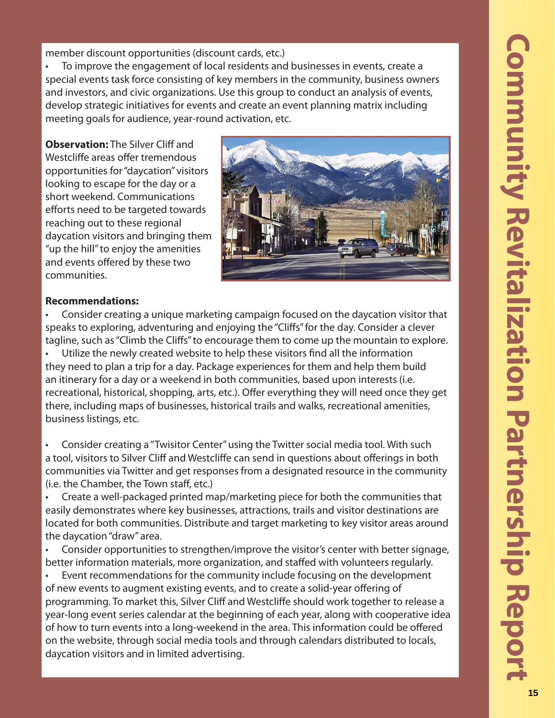member discount opportunities (discount cards, etc.)

• To improve the engagement of local residents and businesses in events, create a special events task force consisting of key members in the community, business owners and investors, and civic organizations. Use this group to conduct an analysis of events, develop strategic initiatives for events and create an event planning matrix including meeting goals for audience, year-round activation, etc.

**Observation:** The Silver Cliff and Westcliffe areas offer tremendous opportunities for "daycation" visitors looking to escape for the day or a short weekend. Communications efforts need to be targeted towards reaching out to these regional daycation visitors and bringing them "up the hill" to enjoy the amenities and events offered by these two communities.



# **Recommendations:**

• Consider creating a unique marketing campaign focused on the daycation visitor that speaks to exploring, adventuring and enjoying the "Cliffs" for the day. Consider a clever tagline, such as "Climb the Cliffs" to encourage them to come up the mountain to explore. Utilize the newly created website to help these visitors find all the information they need to plan a trip for a day. Package experiences for them and help them build an itinerary for a day or a weekend in both communities, based upon interests (i.e. recreational, historical, shopping, arts, etc.). Offer everything they will need once they get there, including maps of businesses, historical trails and walks, recreational amenities, business listings, etc.

• Consider creating a "Twisitor Center" using the Twitter social media tool. With such a tool, visitors to Silver Cliff and Westcliffe can send in questions about offerings in both communities via Twitter and get responses from a designated resource in the community (i.e. the Chamber, the Town staff, etc.)

• Create a well-packaged printed map/marketing piece for both the communities that easily demonstrates where key businesses, attractions, trails and visitor destinations are located for both communities. Distribute and target marketing to key visitor areas around the daycation "draw" area.

• Consider opportunities to strengthen/improve the visitor's center with better signage, better information materials, more organization, and staffed with volunteers regularly.

• Event recommendations for the community include focusing on the development of new events to augment existing events, and to create a solid-year offering of programming. To market this, Silver Cliff and Westcliff e should work together to release a year-long event series calendar at the beginning of each year, along with cooperative idea of how to turn events into a long-weekend in the area. This information could be offered on the website, through social media tools and through calendars distributed to locals, daycation visitors and in limited advertising.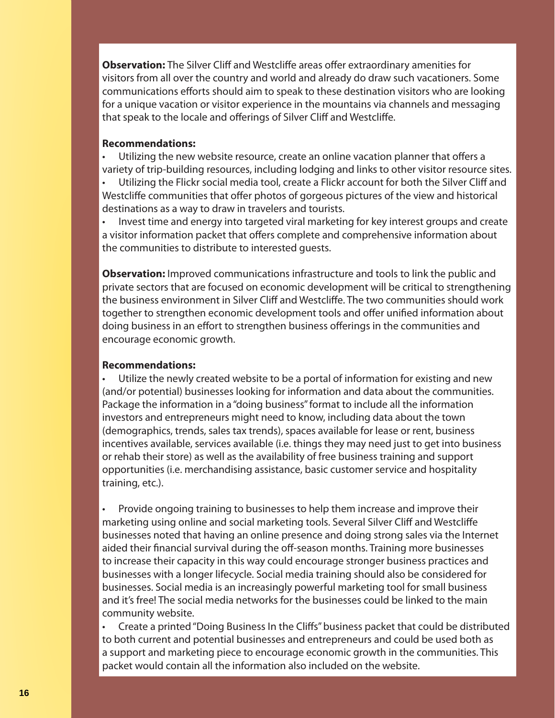**Observation:** The Silver Cliff and Westcliffe areas offer extraordinary amenities for visitors from all over the country and world and already do draw such vacationers. Some communications efforts should aim to speak to these destination visitors who are looking for a unique vacation or visitor experience in the mountains via channels and messaging that speak to the locale and offerings of Silver Cliff and Westcliffe.

### **Recommendations:**

Utilizing the new website resource, create an online vacation planner that offers a variety of trip-building resources, including lodging and links to other visitor resource sites.

• Utilizing the Flickr social media tool, create a Flickr account for both the Silver Cliff and Westcliffe communities that offer photos of gorgeous pictures of the view and historical destinations as a way to draw in travelers and tourists.

• Invest time and energy into targeted viral marketing for key interest groups and create a visitor information packet that offers complete and comprehensive information about the communities to distribute to interested guests.

**Observation:** Improved communications infrastructure and tools to link the public and private sectors that are focused on economic development will be critical to strengthening the business environment in Silver Cliff and Westcliffe. The two communities should work together to strengthen economic development tools and offer unified information about doing business in an effort to strengthen business offerings in the communities and encourage economic growth.

### **Recommendations:**

Utilize the newly created website to be a portal of information for existing and new (and/or potential) businesses looking for information and data about the communities. Package the information in a "doing business" format to include all the information investors and entrepreneurs might need to know, including data about the town (demographics, trends, sales tax trends), spaces available for lease or rent, business incentives available, services available (i.e. things they may need just to get into business or rehab their store) as well as the availability of free business training and support opportunities (i.e. merchandising assistance, basic customer service and hospitality training, etc.).

• Provide ongoing training to businesses to help them increase and improve their marketing using online and social marketing tools. Several Silver Cliff and Westcliffe businesses noted that having an online presence and doing strong sales via the Internet aided their financial survival during the off-season months. Training more businesses to increase their capacity in this way could encourage stronger business practices and businesses with a longer lifecycle. Social media training should also be considered for businesses. Social media is an increasingly powerful marketing tool for small business and it's free! The social media networks for the businesses could be linked to the main community website.

Create a printed "Doing Business In the Cliffs" business packet that could be distributed to both current and potential businesses and entrepreneurs and could be used both as a support and marketing piece to encourage economic growth in the communities. This packet would contain all the information also included on the website.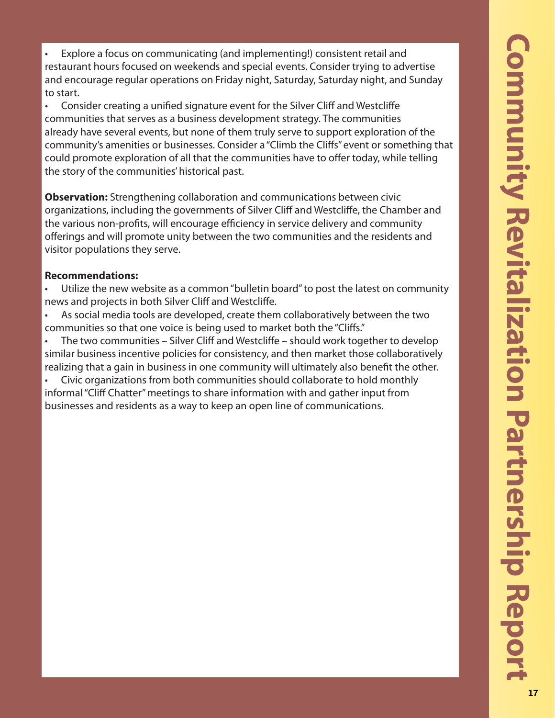• Explore a focus on communicating (and implementing!) consistent retail and restaurant hours focused on weekends and special events. Consider trying to advertise and encourage regular operations on Friday night, Saturday, Saturday night, and Sunday to start.

Consider creating a unified signature event for the Silver Cliff and Westcliffe communities that serves as a business development strategy. The communities already have several events, but none of them truly serve to support exploration of the community's amenities or businesses. Consider a "Climb the Cliffs" event or something that could promote exploration of all that the communities have to offer today, while telling the story of the communities' historical past.

**Observation:** Strengthening collaboration and communications between civic organizations, including the governments of Silver Cliff and Westcliffe, the Chamber and the various non-profits, will encourage efficiency in service delivery and community offerings and will promote unity between the two communities and the residents and visitor populations they serve.

# **Recommendations:**

Utilize the new website as a common "bulletin board" to post the latest on community news and projects in both Silver Cliff and Westcliffe.

• As social media tools are developed, create them collaboratively between the two communities so that one voice is being used to market both the "Cliffs."

The two communities – Silver Cliff and Westcliffe – should work together to develop similar business incentive policies for consistency, and then market those collaboratively realizing that a gain in business in one community will ultimately also benefit the other.

• Civic organizations from both communities should collaborate to hold monthly informal "Cliff Chatter" meetings to share information with and gather input from businesses and residents as a way to keep an open line of communications.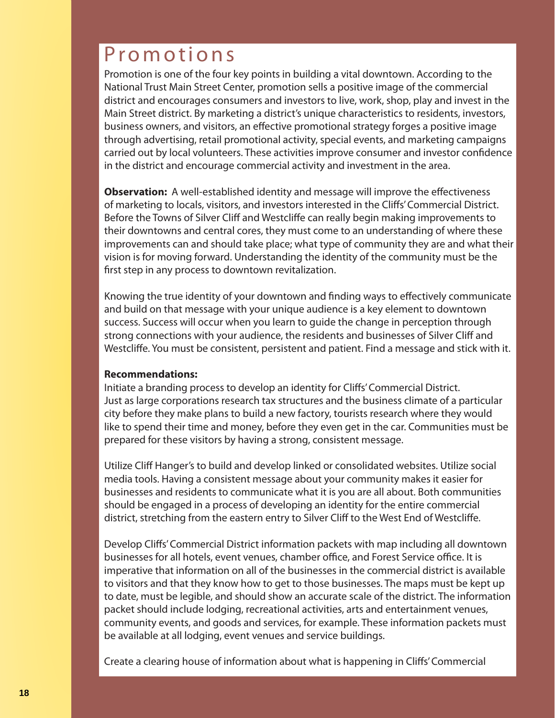# Promotions

Promotion is one of the four key points in building a vital downtown. According to the National Trust Main Street Center, promotion sells a positive image of the commercial district and encourages consumers and investors to live, work, shop, play and invest in the Main Street district. By marketing a district's unique characteristics to residents, investors, business owners, and visitors, an effective promotional strategy forges a positive image through advertising, retail promotional activity, special events, and marketing campaigns carried out by local volunteers. These activities improve consumer and investor confidence in the district and encourage commercial activity and investment in the area.

**Observation:** A well-established identity and message will improve the effectiveness of marketing to locals, visitors, and investors interested in the Cliffs' Commercial District. Before the Towns of Silver Cliff and Westcliffe can really begin making improvements to their downtowns and central cores, they must come to an understanding of where these improvements can and should take place; what type of community they are and what their vision is for moving forward. Understanding the identity of the community must be the first step in any process to downtown revitalization.

Knowing the true identity of your downtown and finding ways to effectively communicate and build on that message with your unique audience is a key element to downtown success. Success will occur when you learn to guide the change in perception through strong connections with your audience, the residents and businesses of Silver Cliff and Westcliffe. You must be consistent, persistent and patient. Find a message and stick with it.

### **Recommendations:**

Initiate a branding process to develop an identity for Cliffs' Commercial District. Just as large corporations research tax structures and the business climate of a particular city before they make plans to build a new factory, tourists research where they would like to spend their time and money, before they even get in the car. Communities must be prepared for these visitors by having a strong, consistent message.

Utilize Cliff Hanger's to build and develop linked or consolidated websites. Utilize social media tools. Having a consistent message about your community makes it easier for businesses and residents to communicate what it is you are all about. Both communities should be engaged in a process of developing an identity for the entire commercial district, stretching from the eastern entry to Silver Cliff to the West End of Westcliffe.

Develop Cliffs' Commercial District information packets with map including all downtown businesses for all hotels, event venues, chamber office, and Forest Service office. It is imperative that information on all of the businesses in the commercial district is available to visitors and that they know how to get to those businesses. The maps must be kept up to date, must be legible, and should show an accurate scale of the district. The information packet should include lodging, recreational activities, arts and entertainment venues, community events, and goods and services, for example. These information packets must be available at all lodging, event venues and service buildings.

Create a clearing house of information about what is happening in Cliffs' Commercial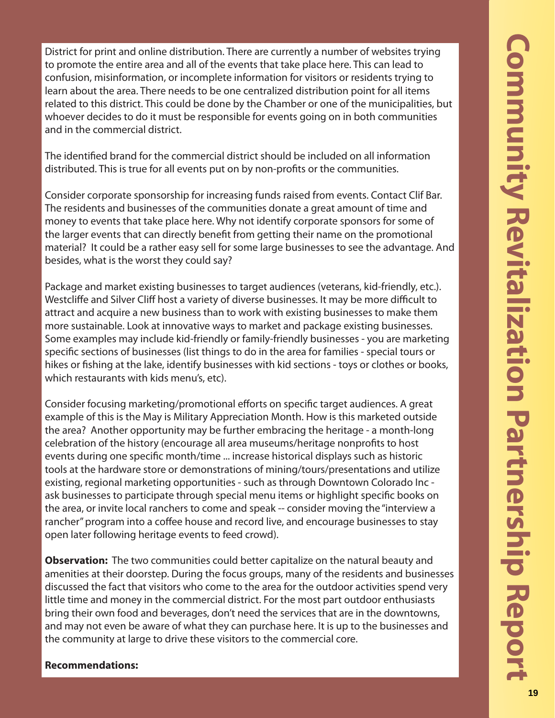District for print and online distribution. There are currently a number of websites trying to promote the entire area and all of the events that take place here. This can lead to confusion, misinformation, or incomplete information for visitors or residents trying to learn about the area. There needs to be one centralized distribution point for all items related to this district. This could be done by the Chamber or one of the municipalities, but whoever decides to do it must be responsible for events going on in both communities and in the commercial district.

The identified brand for the commercial district should be included on all information distributed. This is true for all events put on by non-profits or the communities.

Consider corporate sponsorship for increasing funds raised from events. Contact Clif Bar. The residents and businesses of the communities donate a great amount of time and money to events that take place here. Why not identify corporate sponsors for some of the larger events that can directly benefit from getting their name on the promotional material? It could be a rather easy sell for some large businesses to see the advantage. And besides, what is the worst they could say?

Package and market existing businesses to target audiences (veterans, kid-friendly, etc.). Westcliffe and Silver Cliff host a variety of diverse businesses. It may be more difficult to attract and acquire a new business than to work with existing businesses to make them more sustainable. Look at innovative ways to market and package existing businesses. Some examples may include kid-friendly or family-friendly businesses - you are marketing specific sections of businesses (list things to do in the area for families - special tours or hikes or fishing at the lake, identify businesses with kid sections - toys or clothes or books, which restaurants with kids menu's, etc).

Consider focusing marketing/promotional efforts on specific target audiences. A great example of this is the May is Military Appreciation Month. How is this marketed outside the area? Another opportunity may be further embracing the heritage - a month-long celebration of the history (encourage all area museums/heritage nonprofits to host events during one specific month/time ... increase historical displays such as historic tools at the hardware store or demonstrations of mining/tours/presentations and utilize existing, regional marketing opportunities - such as through Downtown Colorado Inc ask businesses to participate through special menu items or highlight specific books on the area, or invite local ranchers to come and speak -- consider moving the "interview a rancher" program into a coffee house and record live, and encourage businesses to stay open later following heritage events to feed crowd).

**Observation:** The two communities could better capitalize on the natural beauty and amenities at their doorstep. During the focus groups, many of the residents and businesses discussed the fact that visitors who come to the area for the outdoor activities spend very little time and money in the commercial district. For the most part outdoor enthusiasts bring their own food and beverages, don't need the services that are in the downtowns, and may not even be aware of what they can purchase here. It is up to the businesses and the community at large to drive these visitors to the commercial core.

# **Recommendations:**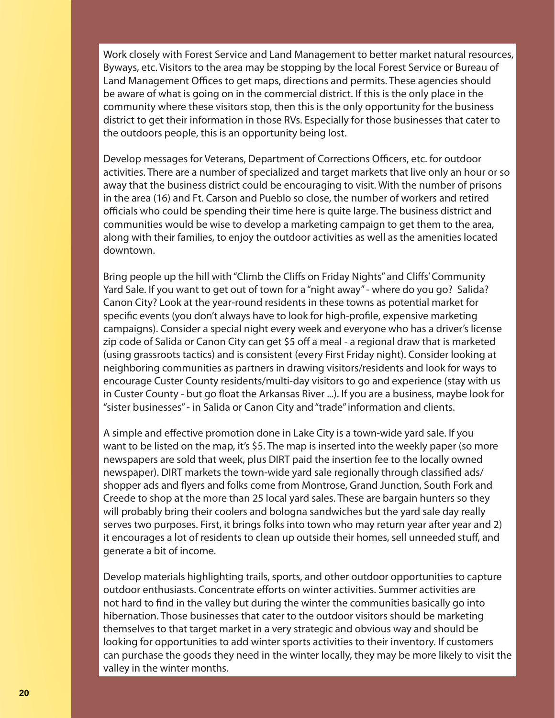Work closely with Forest Service and Land Management to better market natural resources, Byways, etc. Visitors to the area may be stopping by the local Forest Service or Bureau of Land Management Offices to get maps, directions and permits. These agencies should be aware of what is going on in the commercial district. If this is the only place in the community where these visitors stop, then this is the only opportunity for the business district to get their information in those RVs. Especially for those businesses that cater to the outdoors people, this is an opportunity being lost.

Develop messages for Veterans, Department of Corrections Officers, etc. for outdoor activities. There are a number of specialized and target markets that live only an hour or so away that the business district could be encouraging to visit. With the number of prisons in the area (16) and Ft. Carson and Pueblo so close, the number of workers and retired officials who could be spending their time here is quite large. The business district and communities would be wise to develop a marketing campaign to get them to the area, along with their families, to enjoy the outdoor activities as well as the amenities located downtown.

Bring people up the hill with "Climb the Cliffs on Friday Nights" and Cliffs' Community Yard Sale. If you want to get out of town for a "night away" - where do you go? Salida? Canon City? Look at the year-round residents in these towns as potential market for specific events (you don't always have to look for high-profile, expensive marketing campaigns). Consider a special night every week and everyone who has a driver's license zip code of Salida or Canon City can get \$5 off a meal - a regional draw that is marketed (using grassroots tactics) and is consistent (every First Friday night). Consider looking at neighboring communities as partners in drawing visitors/residents and look for ways to encourage Custer County residents/multi-day visitors to go and experience (stay with us in Custer County - but go float the Arkansas River ...). If you are a business, maybe look for "sister businesses" - in Salida or Canon City and "trade" information and clients.

A simple and effective promotion done in Lake City is a town-wide yard sale. If you want to be listed on the map, it's \$5. The map is inserted into the weekly paper (so more newspapers are sold that week, plus DIRT paid the insertion fee to the locally owned newspaper). DIRT markets the town-wide yard sale regionally through classified ads/ shopper ads and flyers and folks come from Montrose, Grand Junction, South Fork and Creede to shop at the more than 25 local yard sales. These are bargain hunters so they will probably bring their coolers and bologna sandwiches but the yard sale day really serves two purposes. First, it brings folks into town who may return year after year and 2) it encourages a lot of residents to clean up outside their homes, sell unneeded stuff, and generate a bit of income.

Develop materials highlighting trails, sports, and other outdoor opportunities to capture outdoor enthusiasts. Concentrate efforts on winter activities. Summer activities are not hard to find in the valley but during the winter the communities basically go into hibernation. Those businesses that cater to the outdoor visitors should be marketing themselves to that target market in a very strategic and obvious way and should be looking for opportunities to add winter sports activities to their inventory. If customers can purchase the goods they need in the winter locally, they may be more likely to visit the valley in the winter months.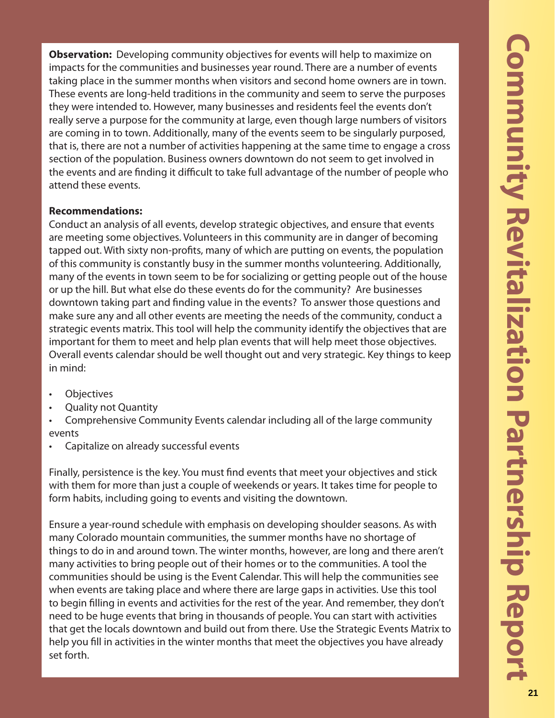**Observation:** Developing community objectives for events will help to maximize on impacts for the communities and businesses year round. There are a number of events taking place in the summer months when visitors and second home owners are in town. These events are long-held traditions in the community and seem to serve the purposes they were intended to. However, many businesses and residents feel the events don't really serve a purpose for the community at large, even though large numbers of visitors are coming in to town. Additionally, many of the events seem to be singularly purposed, that is, there are not a number of activities happening at the same time to engage a cross section of the population. Business owners downtown do not seem to get involved in the events and are finding it difficult to take full advantage of the number of people who attend these events.

# **Recommendations:**

Conduct an analysis of all events, develop strategic objectives, and ensure that events are meeting some objectives. Volunteers in this community are in danger of becoming tapped out. With sixty non-profits, many of which are putting on events, the population of this community is constantly busy in the summer months volunteering. Additionally, many of the events in town seem to be for socializing or getting people out of the house or up the hill. But what else do these events do for the community? Are businesses downtown taking part and finding value in the events? To answer those questions and make sure any and all other events are meeting the needs of the community, conduct a strategic events matrix. This tool will help the community identify the objectives that are important for them to meet and help plan events that will help meet those objectives. Overall events calendar should be well thought out and very strategic. Key things to keep in mind:

- **Objectives**
- Quality not Quantity
- Comprehensive Community Events calendar including all of the large community events
- Capitalize on already successful events

Finally, persistence is the key. You must find events that meet your objectives and stick with them for more than just a couple of weekends or years. It takes time for people to form habits, including going to events and visiting the downtown.

Ensure a year-round schedule with emphasis on developing shoulder seasons. As with many Colorado mountain communities, the summer months have no shortage of things to do in and around town. The winter months, however, are long and there aren't many activities to bring people out of their homes or to the communities. A tool the communities should be using is the Event Calendar. This will help the communities see when events are taking place and where there are large gaps in activities. Use this tool to begin filling in events and activities for the rest of the year. And remember, they don't need to be huge events that bring in thousands of people. You can start with activities that get the locals downtown and build out from there. Use the Strategic Events Matrix to help you fill in activities in the winter months that meet the objectives you have already set forth.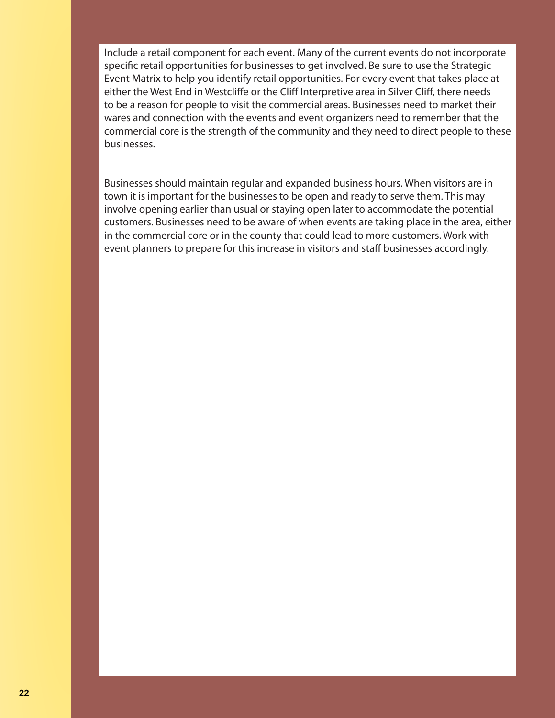Include a retail component for each event. Many of the current events do not incorporate specific retail opportunities for businesses to get involved. Be sure to use the Strategic Event Matrix to help you identify retail opportunities. For every event that takes place at either the West End in Westcliffe or the Cliff Interpretive area in Silver Cliff, there needs to be a reason for people to visit the commercial areas. Businesses need to market their wares and connection with the events and event organizers need to remember that the commercial core is the strength of the community and they need to direct people to these businesses.

Businesses should maintain regular and expanded business hours. When visitors are in town it is important for the businesses to be open and ready to serve them. This may involve opening earlier than usual or staying open later to accommodate the potential customers. Businesses need to be aware of when events are taking place in the area, either in the commercial core or in the county that could lead to more customers. Work with event planners to prepare for this increase in visitors and staff businesses accordingly.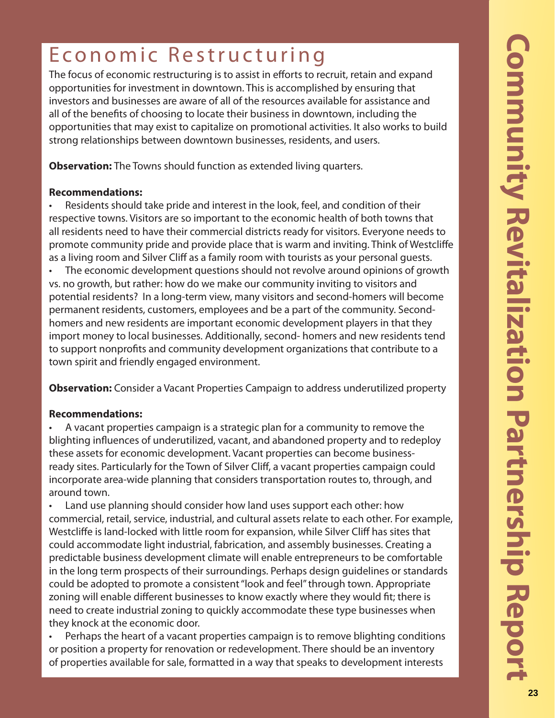# Economic Restructuring

The focus of economic restructuring is to assist in efforts to recruit, retain and expand opportunities for investment in downtown. This is accomplished by ensuring that investors and businesses are aware of all of the resources available for assistance and all of the benefits of choosing to locate their business in downtown, including the opportunities that may exist to capitalize on promotional activities. It also works to build strong relationships between downtown businesses, residents, and users.

**Observation:** The Towns should function as extended living quarters.

# **Recommendations:**

• Residents should take pride and interest in the look, feel, and condition of their respective towns. Visitors are so important to the economic health of both towns that all residents need to have their commercial districts ready for visitors. Everyone needs to promote community pride and provide place that is warm and inviting. Think of Westcliffe as a living room and Silver Cliff as a family room with tourists as your personal guests.

• The economic development questions should not revolve around opinions of growth vs. no growth, but rather: how do we make our community inviting to visitors and potential residents? In a long-term view, many visitors and second-homers will become permanent residents, customers, employees and be a part of the community. Secondhomers and new residents are important economic development players in that they import money to local businesses. Additionally, second- homers and new residents tend to support nonprofits and community development organizations that contribute to a town spirit and friendly engaged environment.

**Observation:** Consider a Vacant Properties Campaign to address underutilized property

# **Recommendations:**

• A vacant properties campaign is a strategic plan for a community to remove the blighting influences of underutilized, vacant, and abandoned property and to redeploy these assets for economic development. Vacant properties can become businessready sites. Particularly for the Town of Silver Cliff, a vacant properties campaign could incorporate area-wide planning that considers transportation routes to, through, and around town.

• Land use planning should consider how land uses support each other: how commercial, retail, service, industrial, and cultural assets relate to each other. For example, Westcliffe is land-locked with little room for expansion, while Silver Cliff has sites that could accommodate light industrial, fabrication, and assembly businesses. Creating a predictable business development climate will enable entrepreneurs to be comfortable in the long term prospects of their surroundings. Perhaps design guidelines or standards could be adopted to promote a consistent "look and feel" through town. Appropriate zoning will enable different businesses to know exactly where they would fit; there is need to create industrial zoning to quickly accommodate these type businesses when they knock at the economic door.

• Perhaps the heart of a vacant properties campaign is to remove blighting conditions or position a property for renovation or redevelopment. There should be an inventory of properties available for sale, formatted in a way that speaks to development interests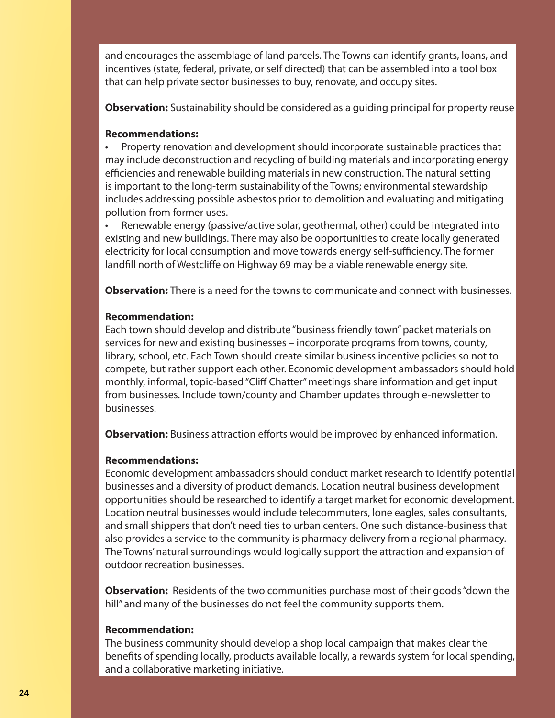and encourages the assemblage of land parcels. The Towns can identify grants, loans, and incentives (state, federal, private, or self directed) that can be assembled into a tool box that can help private sector businesses to buy, renovate, and occupy sites.

**Observation:** Sustainability should be considered as a guiding principal for property reuse

### **Recommendations:**

• Property renovation and development should incorporate sustainable practices that may include deconstruction and recycling of building materials and incorporating energy efficiencies and renewable building materials in new construction. The natural setting is important to the long-term sustainability of the Towns; environmental stewardship includes addressing possible asbestos prior to demolition and evaluating and mitigating pollution from former uses.

• Renewable energy (passive/active solar, geothermal, other) could be integrated into existing and new buildings. There may also be opportunities to create locally generated electricity for local consumption and move towards energy self-sufficiency. The former landfill north of Westcliffe on Highway 69 may be a viable renewable energy site.

**Observation:** There is a need for the towns to communicate and connect with businesses.

### **Recommendation:**

Each town should develop and distribute "business friendly town" packet materials on services for new and existing businesses – incorporate programs from towns, county, library, school, etc. Each Town should create similar business incentive policies so not to compete, but rather support each other. Economic development ambassadors should hold monthly, informal, topic-based "Cliff Chatter" meetings share information and get input from businesses. Include town/county and Chamber updates through e-newsletter to businesses.

**Observation:** Business attraction efforts would be improved by enhanced information.

# **Recommendations:**

Economic development ambassadors should conduct market research to identify potential businesses and a diversity of product demands. Location neutral business development opportunities should be researched to identify a target market for economic development. Location neutral businesses would include telecommuters, lone eagles, sales consultants, and small shippers that don't need ties to urban centers. One such distance-business that also provides a service to the community is pharmacy delivery from a regional pharmacy. The Towns' natural surroundings would logically support the attraction and expansion of outdoor recreation businesses.

**Observation:** Residents of the two communities purchase most of their goods "down the hill" and many of the businesses do not feel the community supports them.

# **Recommendation:**

The business community should develop a shop local campaign that makes clear the benefits of spending locally, products available locally, a rewards system for local spending, and a collaborative marketing initiative.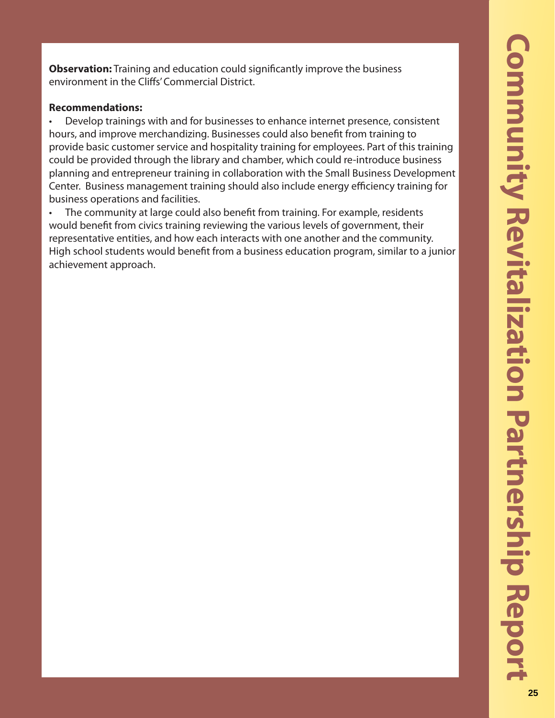**Observation:** Training and education could significantly improve the business environment in the Cliffs' Commercial District.

### **Recommendations:**

• Develop trainings with and for businesses to enhance internet presence, consistent hours, and improve merchandizing. Businesses could also benefit from training to provide basic customer service and hospitality training for employees. Part of this training could be provided through the library and chamber, which could re-introduce business planning and entrepreneur training in collaboration with the Small Business Development Center. Business management training should also include energy efficiency training for business operations and facilities.

The community at large could also benefit from training. For example, residents would benefit from civics training reviewing the various levels of government, their representative entities, and how each interacts with one another and the community. High school students would benefit from a business education program, similar to a junior achievement approach.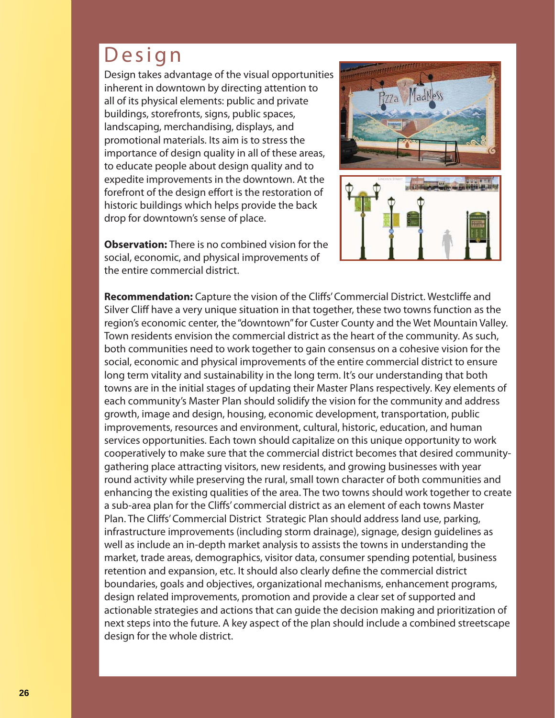# Design

Design takes advantage of the visual opportunities inherent in downtown by directing attention to all of its physical elements: public and private buildings, storefronts, signs, public spaces, landscaping, merchandising, displays, and promotional materials. Its aim is to stress the importance of design quality in all of these areas, to educate people about design quality and to expedite improvements in the downtown. At the forefront of the design effort is the restoration of historic buildings which helps provide the back drop for downtown's sense of place.

**Observation:** There is no combined vision for the social, economic, and physical improvements of the entire commercial district.



Recommendation: Capture the vision of the Cliffs' Commercial District. Westcliffe and Silver Cliff have a very unique situation in that together, these two towns function as the region's economic center, the "downtown" for Custer County and the Wet Mountain Valley. Town residents envision the commercial district as the heart of the community. As such, both communities need to work together to gain consensus on a cohesive vision for the social, economic and physical improvements of the entire commercial district to ensure long term vitality and sustainability in the long term. It's our understanding that both towns are in the initial stages of updating their Master Plans respectively. Key elements of each community's Master Plan should solidify the vision for the community and address growth, image and design, housing, economic development, transportation, public improvements, resources and environment, cultural, historic, education, and human services opportunities. Each town should capitalize on this unique opportunity to work cooperatively to make sure that the commercial district becomes that desired communitygathering place attracting visitors, new residents, and growing businesses with year round activity while preserving the rural, small town character of both communities and enhancing the existing qualities of the area. The two towns should work together to create a sub-area plan for the Cliffs' commercial district as an element of each towns Master Plan. The Cliffs' Commercial District Strategic Plan should address land use, parking, infrastructure improvements (including storm drainage), signage, design guidelines as well as include an in-depth market analysis to assists the towns in understanding the market, trade areas, demographics, visitor data, consumer spending potential, business retention and expansion, etc. It should also clearly define the commercial district boundaries, goals and objectives, organizational mechanisms, enhancement programs, design related improvements, promotion and provide a clear set of supported and actionable strategies and actions that can guide the decision making and prioritization of next steps into the future. A key aspect of the plan should include a combined streetscape design for the whole district.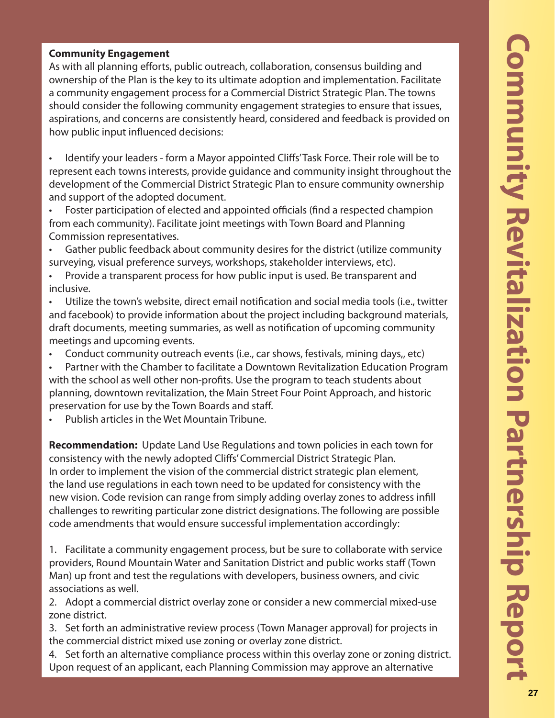# **Community Engagement**

As with all planning efforts, public outreach, collaboration, consensus building and ownership of the Plan is the key to its ultimate adoption and implementation. Facilitate a community engagement process for a Commercial District Strategic Plan. The towns should consider the following community engagement strategies to ensure that issues, aspirations, and concerns are consistently heard, considered and feedback is provided on how public input influenced decisions:

• Identify your leaders - form a Mayor appointed Cliffs' Task Force. Their role will be to represent each towns interests, provide guidance and community insight throughout the development of the Commercial District Strategic Plan to ensure community ownership and support of the adopted document.

Foster participation of elected and appointed officials (find a respected champion from each community). Facilitate joint meetings with Town Board and Planning Commission representatives.

- Gather public feedback about community desires for the district (utilize community surveying, visual preference surveys, workshops, stakeholder interviews, etc).
- Provide a transparent process for how public input is used. Be transparent and inclusive.
- Utilize the town's website, direct email notification and social media tools (i.e., twitter and facebook) to provide information about the project including background materials, draft documents, meeting summaries, as well as notification of upcoming community meetings and upcoming events.
- Conduct community outreach events (i.e., car shows, festivals, mining days,, etc)
- Partner with the Chamber to facilitate a Downtown Revitalization Education Program with the school as well other non-profits. Use the program to teach students about planning, downtown revitalization, the Main Street Four Point Approach, and historic preservation for use by the Town Boards and staff .
- Publish articles in the Wet Mountain Tribune.

**Recommendation:** Update Land Use Regulations and town policies in each town for consistency with the newly adopted Cliffs' Commercial District Strategic Plan. In order to implement the vision of the commercial district strategic plan element, the land use regulations in each town need to be updated for consistency with the new vision. Code revision can range from simply adding overlay zones to address infill challenges to rewriting particular zone district designations. The following are possible code amendments that would ensure successful implementation accordingly:

1. Facilitate a community engagement process, but be sure to collaborate with service providers, Round Mountain Water and Sanitation District and public works staff (Town Man) up front and test the regulations with developers, business owners, and civic associations as well.

2. Adopt a commercial district overlay zone or consider a new commercial mixed-use zone district.

3. Set forth an administrative review process (Town Manager approval) for projects in the commercial district mixed use zoning or overlay zone district.

4. Set forth an alternative compliance process within this overlay zone or zoning district. Upon request of an applicant, each Planning Commission may approve an alternative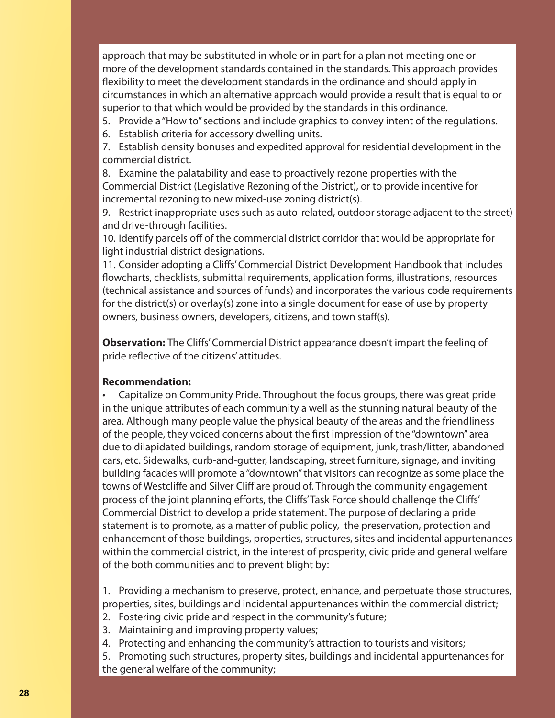approach that may be substituted in whole or in part for a plan not meeting one or more of the development standards contained in the standards. This approach provides flexibility to meet the development standards in the ordinance and should apply in circumstances in which an alternative approach would provide a result that is equal to or superior to that which would be provided by the standards in this ordinance.

- 5. Provide a "How to" sections and include graphics to convey intent of the regulations.
- 6. Establish criteria for accessory dwelling units.
- 7. Establish density bonuses and expedited approval for residential development in the commercial district.

8. Examine the palatability and ease to proactively rezone properties with the Commercial District (Legislative Rezoning of the District), or to provide incentive for incremental rezoning to new mixed-use zoning district(s).

9. Restrict inappropriate uses such as auto-related, outdoor storage adjacent to the street) and drive-through facilities.

10. Identify parcels off of the commercial district corridor that would be appropriate for light industrial district designations.

11. Consider adopting a Cliffs' Commercial District Development Handbook that includes flowcharts, checklists, submittal requirements, application forms, illustrations, resources (technical assistance and sources of funds) and incorporates the various code requirements for the district(s) or overlay(s) zone into a single document for ease of use by property owners, business owners, developers, citizens, and town staff(s).

**Observation:** The Cliffs' Commercial District appearance doesn't impart the feeling of pride reflective of the citizens' attitudes.

# **Recommendation:**

• Capitalize on Community Pride. Throughout the focus groups, there was great pride in the unique attributes of each community a well as the stunning natural beauty of the area. Although many people value the physical beauty of the areas and the friendliness of the people, they voiced concerns about the first impression of the "downtown" area due to dilapidated buildings, random storage of equipment, junk, trash/litter, abandoned cars, etc. Sidewalks, curb-and-gutter, landscaping, street furniture, signage, and inviting building facades will promote a "downtown" that visitors can recognize as some place the towns of Westcliffe and Silver Cliff are proud of. Through the community engagement process of the joint planning efforts, the Cliffs' Task Force should challenge the Cliffs' Commercial District to develop a pride statement. The purpose of declaring a pride statement is to promote, as a matter of public policy, the preservation, protection and enhancement of those buildings, properties, structures, sites and incidental appurtenances within the commercial district, in the interest of prosperity, civic pride and general welfare of the both communities and to prevent blight by:

1. Providing a mechanism to preserve, protect, enhance, and perpetuate those structures, properties, sites, buildings and incidental appurtenances within the commercial district;

- 2. Fostering civic pride and respect in the community's future;
- 3. Maintaining and improving property values;
- 4. Protecting and enhancing the community's attraction to tourists and visitors;
- 5. Promoting such structures, property sites, buildings and incidental appurtenances for the general welfare of the community;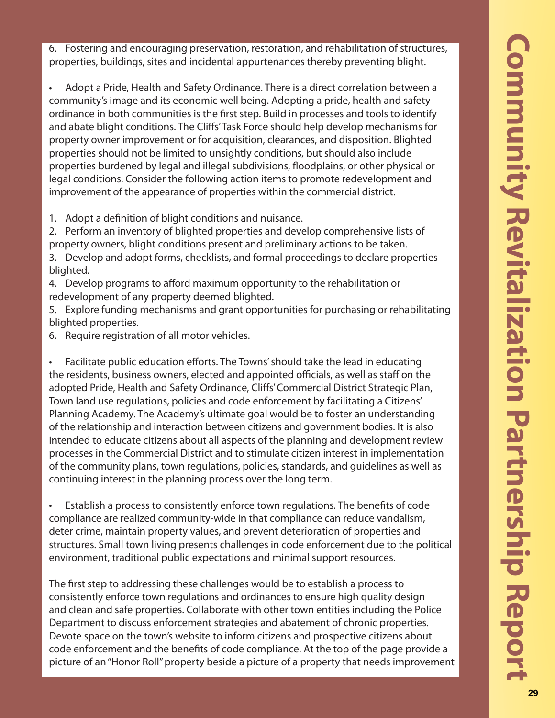6. Fostering and encouraging preservation, restoration, and rehabilitation of structures, properties, buildings, sites and incidental appurtenances thereby preventing blight.

• Adopt a Pride, Health and Safety Ordinance. There is a direct correlation between a community's image and its economic well being. Adopting a pride, health and safety ordinance in both communities is the first step. Build in processes and tools to identify and abate blight conditions. The Cliffs' Task Force should help develop mechanisms for property owner improvement or for acquisition, clearances, and disposition. Blighted properties should not be limited to unsightly conditions, but should also include properties burdened by legal and illegal subdivisions, fl oodplains, or other physical or legal conditions. Consider the following action items to promote redevelopment and improvement of the appearance of properties within the commercial district.

1. Adopt a definition of blight conditions and nuisance.

2. Perform an inventory of blighted properties and develop comprehensive lists of property owners, blight conditions present and preliminary actions to be taken.

3. Develop and adopt forms, checklists, and formal proceedings to declare properties blighted.

- 4. Develop programs to afford maximum opportunity to the rehabilitation or redevelopment of any property deemed blighted.
- 5. Explore funding mechanisms and grant opportunities for purchasing or rehabilitating blighted properties.
- 6. Require registration of all motor vehicles.

Facilitate public education efforts. The Towns' should take the lead in educating the residents, business owners, elected and appointed officials, as well as staff on the adopted Pride, Health and Safety Ordinance, Cliffs' Commercial District Strategic Plan, Town land use regulations, policies and code enforcement by facilitating a Citizens' Planning Academy. The Academy's ultimate goal would be to foster an understanding of the relationship and interaction between citizens and government bodies. It is also intended to educate citizens about all aspects of the planning and development review processes in the Commercial District and to stimulate citizen interest in implementation of the community plans, town regulations, policies, standards, and guidelines as well as continuing interest in the planning process over the long term.

Establish a process to consistently enforce town regulations. The benefits of code compliance are realized community-wide in that compliance can reduce vandalism, deter crime, maintain property values, and prevent deterioration of properties and structures. Small town living presents challenges in code enforcement due to the political environment, traditional public expectations and minimal support resources.

The first step to addressing these challenges would be to establish a process to consistently enforce town regulations and ordinances to ensure high quality design and clean and safe properties. Collaborate with other town entities including the Police Department to discuss enforcement strategies and abatement of chronic properties. Devote space on the town's website to inform citizens and prospective citizens about code enforcement and the benefits of code compliance. At the top of the page provide a picture of an "Honor Roll" property beside a picture of a property that needs improvement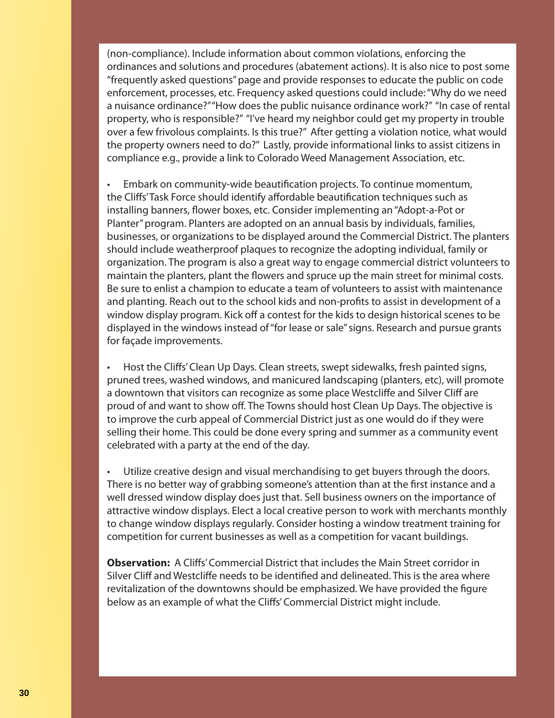(non-compliance). Include information about common violations, enforcing the ordinances and solutions and procedures (abatement actions). It is also nice to post some "frequently asked questions" page and provide responses to educate the public on code enforcement, processes, etc. Frequency asked questions could include: "Why do we need a nuisance ordinance?" "How does the public nuisance ordinance work?" "In case of rental property, who is responsible?" "I've heard my neighbor could get my property in trouble over a few frivolous complaints. Is this true?" After getting a violation notice, what would the property owners need to do?" Lastly, provide informational links to assist citizens in compliance e.g., provide a link to Colorado Weed Management Association, etc.

Embark on community-wide beautification projects. To continue momentum, the Cliffs' Task Force should identify affordable beautification techniques such as installing banners, flower boxes, etc. Consider implementing an "Adopt-a-Pot or Planter" program. Planters are adopted on an annual basis by individuals, families, businesses, or organizations to be displayed around the Commercial District. The planters should include weatherproof plaques to recognize the adopting individual, family or organization. The program is also a great way to engage commercial district volunteers to maintain the planters, plant the flowers and spruce up the main street for minimal costs. Be sure to enlist a champion to educate a team of volunteers to assist with maintenance and planting. Reach out to the school kids and non-profits to assist in development of a window display program. Kick off a contest for the kids to design historical scenes to be displayed in the windows instead of "for lease or sale" signs. Research and pursue grants for façade improvements.

Host the Cliffs' Clean Up Days. Clean streets, swept sidewalks, fresh painted signs, pruned trees, washed windows, and manicured landscaping (planters, etc), will promote a downtown that visitors can recognize as some place Westcliffe and Silver Cliff are proud of and want to show off. The Towns should host Clean Up Days. The objective is to improve the curb appeal of Commercial District just as one would do if they were selling their home. This could be done every spring and summer as a community event celebrated with a party at the end of the day.

• Utilize creative design and visual merchandising to get buyers through the doors. There is no better way of grabbing someone's attention than at the first instance and a well dressed window display does just that. Sell business owners on the importance of attractive window displays. Elect a local creative person to work with merchants monthly to change window displays regularly. Consider hosting a window treatment training for competition for current businesses as well as a competition for vacant buildings.

**Observation:** A Cliffs' Commercial District that includes the Main Street corridor in Silver Cliff and Westcliffe needs to be identified and delineated. This is the area where revitalization of the downtowns should be emphasized. We have provided the figure below as an example of what the Cliffs' Commercial District might include.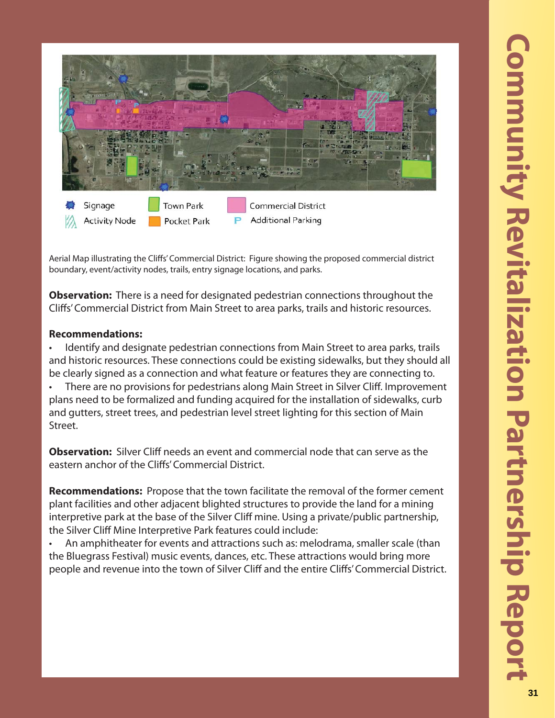

Aerial Map illustrating the Cliffs' Commercial District: Figure showing the proposed commercial district boundary, event/activity nodes, trails, entry signage locations, and parks.

**Observation:** There is a need for designated pedestrian connections throughout the Cliffs' Commercial District from Main Street to area parks, trails and historic resources.

# **Recommendations:**

• Identify and designate pedestrian connections from Main Street to area parks, trails and historic resources. These connections could be existing sidewalks, but they should all be clearly signed as a connection and what feature or features they are connecting to. There are no provisions for pedestrians along Main Street in Silver Cliff. Improvement plans need to be formalized and funding acquired for the installation of sidewalks, curb and gutters, street trees, and pedestrian level street lighting for this section of Main Street.

**Observation:** Silver Cliff needs an event and commercial node that can serve as the eastern anchor of the Cliffs' Commercial District.

**Recommendations:** Propose that the town facilitate the removal of the former cement plant facilities and other adjacent blighted structures to provide the land for a mining interpretive park at the base of the Silver Cliff mine. Using a private/public partnership, the Silver Cliff Mine Interpretive Park features could include:

• An amphitheater for events and attractions such as: melodrama, smaller scale (than the Bluegrass Festival) music events, dances, etc. These attractions would bring more people and revenue into the town of Silver Cliff and the entire Cliffs' Commercial District.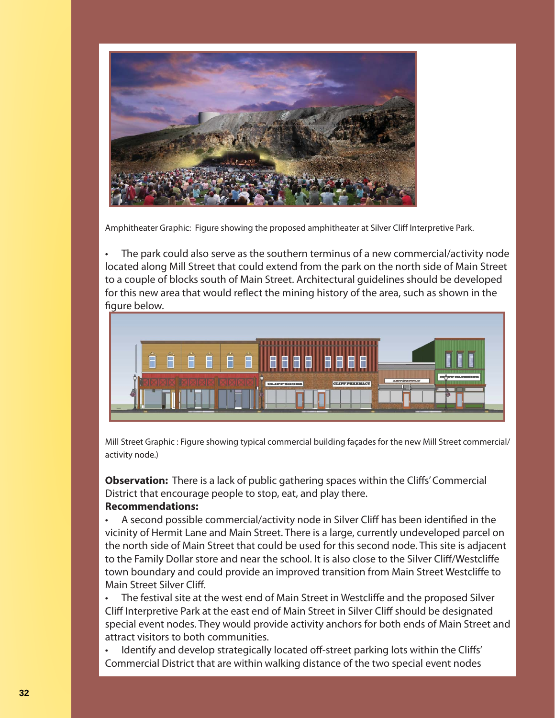

Amphitheater Graphic: Figure showing the proposed amphitheater at Silver Cliff Interpretive Park.

The park could also serve as the southern terminus of a new commercial/activity node located along Mill Street that could extend from the park on the north side of Main Street to a couple of blocks south of Main Street. Architectural guidelines should be developed for this new area that would reflect the mining history of the area, such as shown in the figure below.



Mill Street Graphic : Figure showing typical commercial building façades for the new Mill Street commercial/ activity node.)

**Observation:** There is a lack of public gathering spaces within the Cliffs' Commercial District that encourage people to stop, eat, and play there.

### **Recommendations:**

A second possible commercial/activity node in Silver Cliff has been identified in the vicinity of Hermit Lane and Main Street. There is a large, currently undeveloped parcel on the north side of Main Street that could be used for this second node. This site is adjacent to the Family Dollar store and near the school. It is also close to the Silver Cliff/Westcliffe town boundary and could provide an improved transition from Main Street Westcliffe to Main Street Silver Cliff.

The festival site at the west end of Main Street in Westcliffe and the proposed Silver Cliff Interpretive Park at the east end of Main Street in Silver Cliff should be designated special event nodes. They would provide activity anchors for both ends of Main Street and attract visitors to both communities.

Identify and develop strategically located off-street parking lots within the Cliffs' Commercial District that are within walking distance of the two special event nodes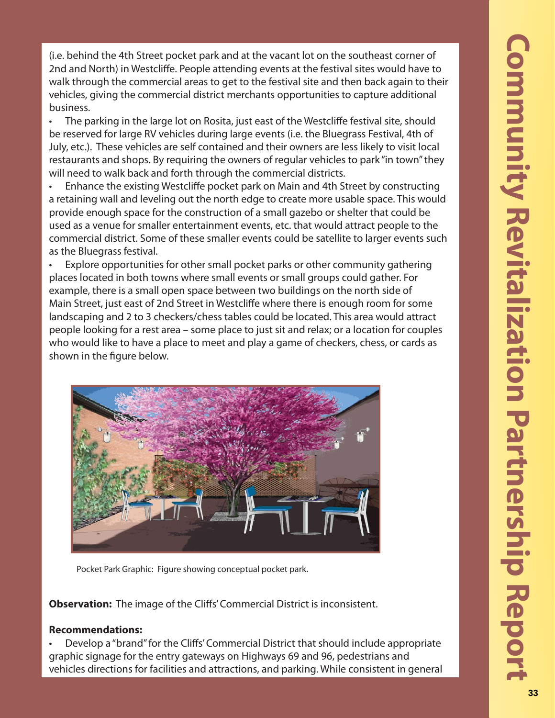(i.e. behind the 4th Street pocket park and at the vacant lot on the southeast corner of 2nd and North) in Westcliffe. People attending events at the festival sites would have to walk through the commercial areas to get to the festival site and then back again to their vehicles, giving the commercial district merchants opportunities to capture additional business.

The parking in the large lot on Rosita, just east of the Westcliffe festival site, should be reserved for large RV vehicles during large events (i.e. the Bluegrass Festival, 4th of July, etc.). These vehicles are self contained and their owners are less likely to visit local restaurants and shops. By requiring the owners of regular vehicles to park "in town" they will need to walk back and forth through the commercial districts.

Enhance the existing Westcliffe pocket park on Main and 4th Street by constructing a retaining wall and leveling out the north edge to create more usable space. This would provide enough space for the construction of a small gazebo or shelter that could be used as a venue for smaller entertainment events, etc. that would attract people to the commercial district. Some of these smaller events could be satellite to larger events such as the Bluegrass festival.

Explore opportunities for other small pocket parks or other community gathering places located in both towns where small events or small groups could gather. For example, there is a small open space between two buildings on the north side of Main Street, just east of 2nd Street in Westcliffe where there is enough room for some landscaping and 2 to 3 checkers/chess tables could be located. This area would attract people looking for a rest area – some place to just sit and relax; or a location for couples who would like to have a place to meet and play a game of checkers, chess, or cards as shown in the figure below.



Pocket Park Graphic: Figure showing conceptual pocket park.

**Observation:** The image of the Cliffs' Commercial District is inconsistent.

### **Recommendations:**

Develop a "brand" for the Cliffs' Commercial District that should include appropriate graphic signage for the entry gateways on Highways 69 and 96, pedestrians and vehicles directions for facilities and attractions, and parking. While consistent in general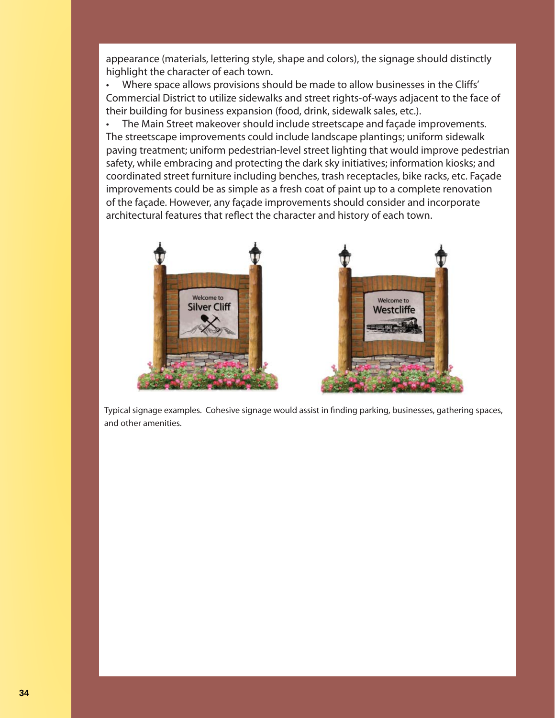appearance (materials, lettering style, shape and colors), the signage should distinctly highlight the character of each town.

• Where space allows provisions should be made to allow businesses in the Cliffs' Commercial District to utilize sidewalks and street rights-of-ways adjacent to the face of their building for business expansion (food, drink, sidewalk sales, etc.).

• The Main Street makeover should include streetscape and façade improvements. The streetscape improvements could include landscape plantings; uniform sidewalk paving treatment; uniform pedestrian-level street lighting that would improve pedestrian safety, while embracing and protecting the dark sky initiatives; information kiosks; and coordinated street furniture including benches, trash receptacles, bike racks, etc. Façade improvements could be as simple as a fresh coat of paint up to a complete renovation of the façade. However, any façade improvements should consider and incorporate architectural features that reflect the character and history of each town.



Typical signage examples. Cohesive signage would assist in finding parking, businesses, gathering spaces, and other amenities.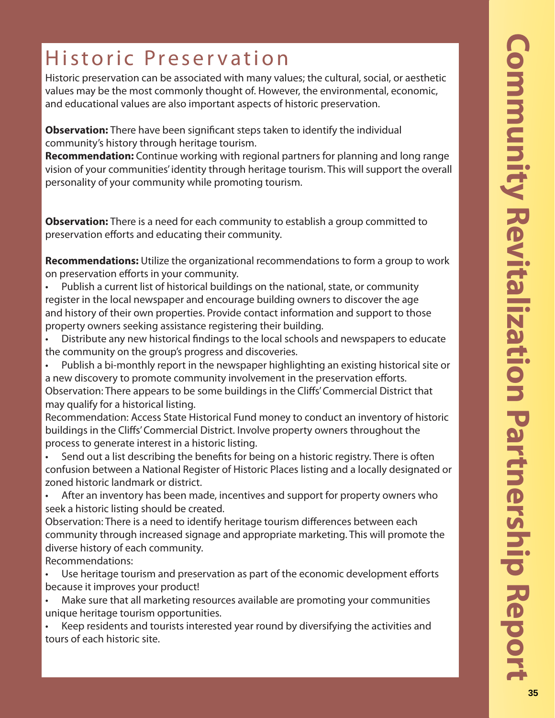# Historic Preservation

Historic preservation can be associated with many values; the cultural, social, or aesthetic values may be the most commonly thought of. However, the environmental, economic, and educational values are also important aspects of historic preservation.

**Observation:** There have been significant steps taken to identify the individual community's history through heritage tourism.

**Recommendation:** Continue working with regional partners for planning and long range vision of your communities' identity through heritage tourism. This will support the overall personality of your community while promoting tourism.

**Observation:** There is a need for each community to establish a group committed to preservation efforts and educating their community.

**Recommendations:** Utilize the organizational recommendations to form a group to work on preservation efforts in your community.

- Publish a current list of historical buildings on the national, state, or community register in the local newspaper and encourage building owners to discover the age and history of their own properties. Provide contact information and support to those property owners seeking assistance registering their building.
- Distribute any new historical findings to the local schools and newspapers to educate the community on the group's progress and discoveries.
- Publish a bi-monthly report in the newspaper highlighting an existing historical site or a new discovery to promote community involvement in the preservation efforts. Observation: There appears to be some buildings in the Cliffs' Commercial District that

may qualify for a historical listing.

Recommendation: Access State Historical Fund money to conduct an inventory of historic buildings in the Cliffs' Commercial District. Involve property owners throughout the process to generate interest in a historic listing.

- Send out a list describing the benefits for being on a historic registry. There is often confusion between a National Register of Historic Places listing and a locally designated or zoned historic landmark or district.
- After an inventory has been made, incentives and support for property owners who seek a historic listing should be created.

Observation: There is a need to identify heritage tourism differences between each community through increased signage and appropriate marketing. This will promote the diverse history of each community.

Recommendations:

Use heritage tourism and preservation as part of the economic development efforts because it improves your product!

• Make sure that all marketing resources available are promoting your communities unique heritage tourism opportunities.

• Keep residents and tourists interested year round by diversifying the activities and tours of each historic site.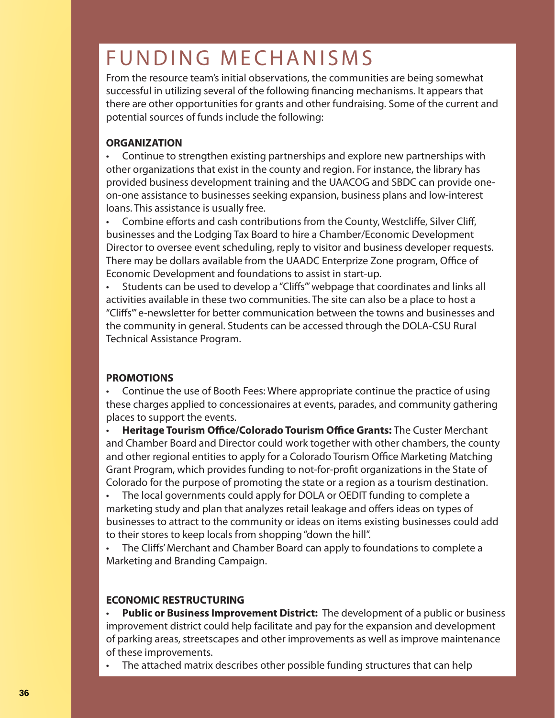# FUNDING MECHANISMS

From the resource team's initial observations, the communities are being somewhat successful in utilizing several of the following financing mechanisms. It appears that there are other opportunities for grants and other fundraising. Some of the current and potential sources of funds include the following:

### **ORGANIZATION**

• Continue to strengthen existing partnerships and explore new partnerships with other organizations that exist in the county and region. For instance, the library has provided business development training and the UAACOG and SBDC can provide oneon-one assistance to businesses seeking expansion, business plans and low-interest loans. This assistance is usually free.

Combine efforts and cash contributions from the County, Westcliffe, Silver Cliff, businesses and the Lodging Tax Board to hire a Chamber/Economic Development Director to oversee event scheduling, reply to visitor and business developer requests. There may be dollars available from the UAADC Enterprize Zone program, Office of Economic Development and foundations to assist in start-up.

Students can be used to develop a "Cliffs" webpage that coordinates and links all activities available in these two communities. The site can also be a place to host a "Cliffs" e-newsletter for better communication between the towns and businesses and the community in general. Students can be accessed through the DOLA-CSU Rural Technical Assistance Program.

# **PROMOTIONS**

• Continue the use of Booth Fees: Where appropriate continue the practice of using these charges applied to concessionaires at events, parades, and community gathering places to support the events.

**Heritage Tourism Office/Colorado Tourism Office Grants:** The Custer Merchant and Chamber Board and Director could work together with other chambers, the county and other regional entities to apply for a Colorado Tourism Office Marketing Matching Grant Program, which provides funding to not-for-profit organizations in the State of Colorado for the purpose of promoting the state or a region as a tourism destination.

• The local governments could apply for DOLA or OEDIT funding to complete a marketing study and plan that analyzes retail leakage and offers ideas on types of businesses to attract to the community or ideas on items existing businesses could add to their stores to keep locals from shopping "down the hill".

The Cliffs' Merchant and Chamber Board can apply to foundations to complete a Marketing and Branding Campaign.

# **ECONOMIC RESTRUCTURING**

• **Public or Business Improvement District:** The development of a public or business improvement district could help facilitate and pay for the expansion and development of parking areas, streetscapes and other improvements as well as improve maintenance of these improvements.

The attached matrix describes other possible funding structures that can help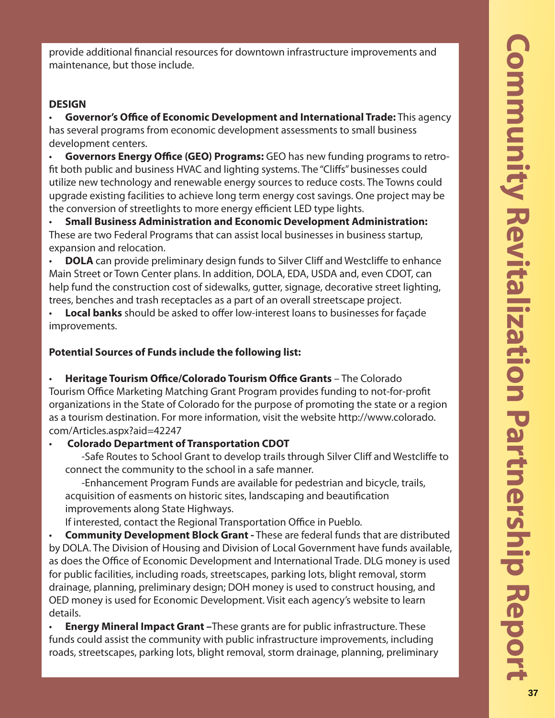provide additional financial resources for downtown infrastructure improvements and maintenance, but those include.

# **DESIGN**

**Governor's Office of Economic Development and International Trade:** This agency has several programs from economic development assessments to small business development centers.

**Governors Energy Office (GEO) Programs:** GEO has new funding programs to retrofit both public and business HVAC and lighting systems. The "Cliffs" businesses could utilize new technology and renewable energy sources to reduce costs. The Towns could upgrade existing facilities to achieve long term energy cost savings. One project may be the conversion of streetlights to more energy efficient LED type lights.

• **Small Business Administration and Economic Development Administration:**  These are two Federal Programs that can assist local businesses in business startup, expansion and relocation.

**DOLA** can provide preliminary design funds to Silver Cliff and Westcliffe to enhance Main Street or Town Center plans. In addition, DOLA, EDA, USDA and, even CDOT, can help fund the construction cost of sidewalks, gutter, signage, decorative street lighting, trees, benches and trash receptacles as a part of an overall streetscape project.

Local banks should be asked to offer low-interest loans to businesses for façade improvements.

# **Potential Sources of Funds include the following list:**

Heritage Tourism Office/Colorado Tourism Office Grants - The Colorado Tourism Office Marketing Matching Grant Program provides funding to not-for-profit organizations in the State of Colorado for the purpose of promoting the state or a region as a tourism destination. For more information, visit the website http://www.colorado. com/Articles.aspx?aid=42247

# • **Colorado Department of Transportation CDOT**

-Safe Routes to School Grant to develop trails through Silver Cliff and Westcliffe to connect the community to the school in a safe manner.

 -Enhancement Program Funds are available for pedestrian and bicycle, trails, acquisition of easments on historic sites, landscaping and beautification improvements along State Highways.

If interested, contact the Regional Transportation Office in Pueblo.

• **Community Development Block Grant -** These are federal funds that are distributed by DOLA. The Division of Housing and Division of Local Government have funds available, as does the Office of Economic Development and International Trade. DLG money is used for public facilities, including roads, streetscapes, parking lots, blight removal, storm drainage, planning, preliminary design; DOH money is used to construct housing, and OED money is used for Economic Development. Visit each agency's website to learn details.

• **Energy Mineral Impact Grant –**These grants are for public infrastructure. These funds could assist the community with public infrastructure improvements, including roads, streetscapes, parking lots, blight removal, storm drainage, planning, preliminary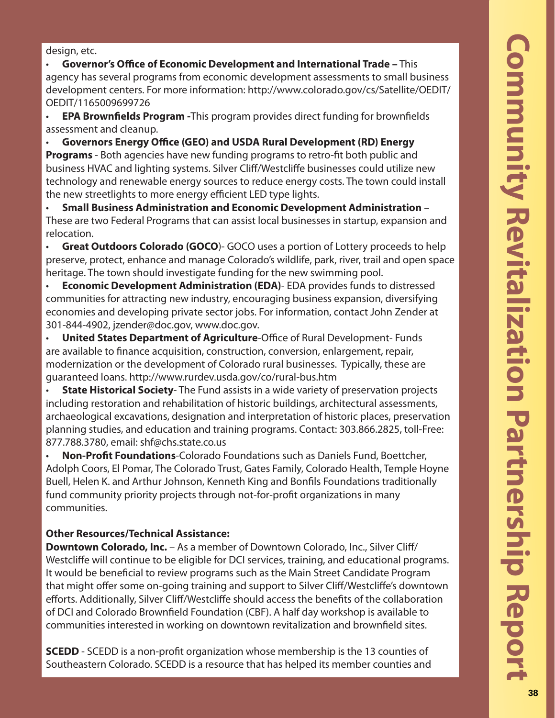**Community Revitalization Partnership Report Community Revita** ion Partnership Repor

design, etc.

**Governor's Office of Economic Development and International Trade - This** agency has several programs from economic development assessments to small business development centers. For more information: http://www.colorado.gov/cs/Satellite/OEDIT/ OEDIT/1165009699726

**EPA Brownfields Program -**This program provides direct funding for brownfields assessment and cleanup.

Governors Energy Office (GEO) and USDA Rural Development (RD) Energy **Programs** - Both agencies have new funding programs to retro-fit both public and business HVAC and lighting systems. Silver Cliff/Westcliffe businesses could utilize new technology and renewable energy sources to reduce energy costs. The town could install the new streetlights to more energy efficient LED type lights.

• **Small Business Administration and Economic Development Administration** – These are two Federal Programs that can assist local businesses in startup, expansion and relocation.

• **Great Outdoors Colorado (GOCO**)- GOCO uses a portion of Lottery proceeds to help preserve, protect, enhance and manage Colorado's wildlife, park, river, trail and open space heritage. The town should investigate funding for the new swimming pool.

• **Economic Development Administration (EDA)**- EDA provides funds to distressed communities for attracting new industry, encouraging business expansion, diversifying economies and developing private sector jobs. For information, contact John Zender at 301-844-4902, jzender@doc.gov, www.doc.gov.

**United States Department of Agriculture-Office of Rural Development- Funds** are available to finance acquisition, construction, conversion, enlargement, repair, modernization or the development of Colorado rural businesses. Typically, these are guaranteed loans. http://www.rurdev.usda.gov/co/rural-bus.htm

• **State Historical Society**- The Fund assists in a wide variety of preservation projects including restoration and rehabilitation of historic buildings, architectural assessments, archaeological excavations, designation and interpretation of historic places, preservation planning studies, and education and training programs. Contact: 303.866.2825, toll-Free: 877.788.3780, email: shf@chs.state.co.us

• **Non-Profi t Foundations**-Colorado Foundations such as Daniels Fund, Boettcher, Adolph Coors, El Pomar, The Colorado Trust, Gates Family, Colorado Health, Temple Hoyne Buell, Helen K. and Arthur Johnson, Kenneth King and Bonfils Foundations traditionally fund community priority projects through not-for-profit organizations in many communities.

# **Other Resources/Technical Assistance:**

**Downtown Colorado, Inc.** – As a member of Downtown Colorado, Inc., Silver Cliff/ Westcliffe will continue to be eligible for DCI services, training, and educational programs. It would be beneficial to review programs such as the Main Street Candidate Program that might offer some on-going training and support to Silver Cliff/Westcliffe's downtown efforts. Additionally, Silver Cliff/Westcliffe should access the benefits of the collaboration of DCI and Colorado Brownfield Foundation (CBF). A half day workshop is available to communities interested in working on downtown revitalization and brownfield sites.

**SCEDD** - SCEDD is a non-profit organization whose membership is the 13 counties of Southeastern Colorado. SCEDD is a resource that has helped its member counties and